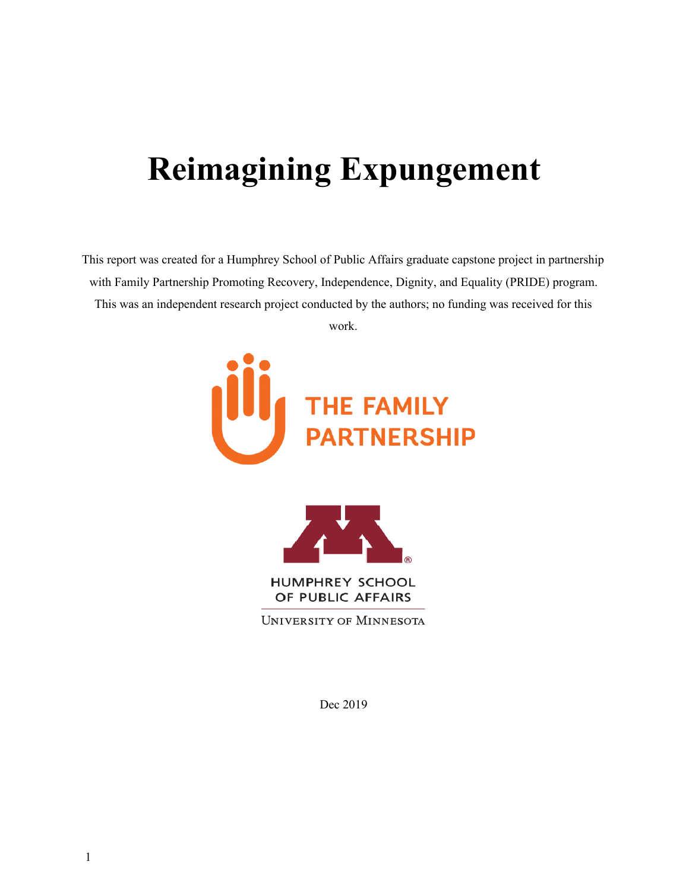# **Reimagining Expungement**

This report was created for a Humphrey School of Public Affairs graduate capstone project in partnership with Family Partnership Promoting Recovery, Independence, Dignity, and Equality (PRIDE) program. This was an independent research project conducted by the authors; no funding was received for this work.





**HUMPHREY SCHOOL** OF PUBLIC AFFAIRS

**UNIVERSITY OF MINNESOTA** 

Dec 2019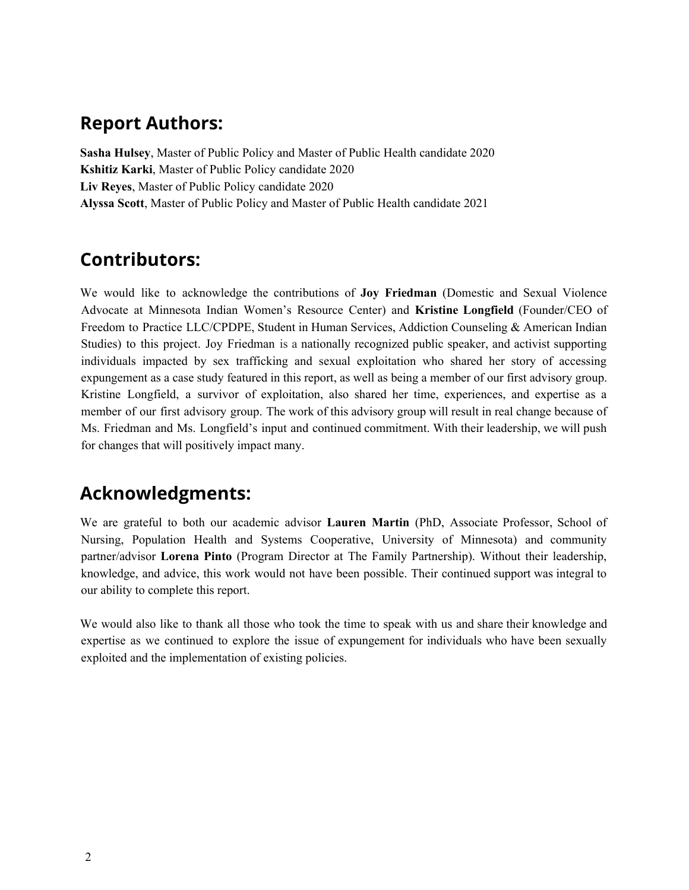# **Report Authors:**

**Sasha Hulsey**, Master of Public Policy and Master of Public Health candidate 2020 **Kshitiz Karki**, Master of Public Policy candidate 2020 **Liv Reyes**, Master of Public Policy candidate 2020 **Alyssa Scott**, Master of Public Policy and Master of Public Health candidate 2021

# **Contributors:**

We would like to acknowledge the contributions of **Joy Friedman** (Domestic and Sexual Violence Advocate at Minnesota Indian Women's Resource Center) and **Kristine Longfield** (Founder/CEO of Freedom to Practice LLC/CPDPE, Student in Human Services, Addiction Counseling & American Indian Studies) to this project. Joy Friedman is a nationally recognized public speaker, and activist supporting individuals impacted by sex trafficking and sexual exploitation who shared her story of accessing expungement as a case study featured in this report, as well as being a member of our first advisory group. Kristine Longfield, a survivor of exploitation, also shared her time, experiences, and expertise as a member of our first advisory group. The work of this advisory group will result in real change because of Ms. Friedman and Ms. Longfield's input and continued commitment. With their leadership, we will push for changes that will positively impact many.

# **Acknowledgments:**

We are grateful to both our academic advisor **Lauren Martin** (PhD, Associate Professor, School of Nursing, Population Health and Systems Cooperative, University of Minnesota) and community partner/advisor **Lorena Pinto** (Program Director at The Family Partnership). Without their leadership, knowledge, and advice, this work would not have been possible. Their continued support was integral to our ability to complete this report.

We would also like to thank all those who took the time to speak with us and share their knowledge and expertise as we continued to explore the issue of expungement for individuals who have been sexually exploited and the implementation of existing policies.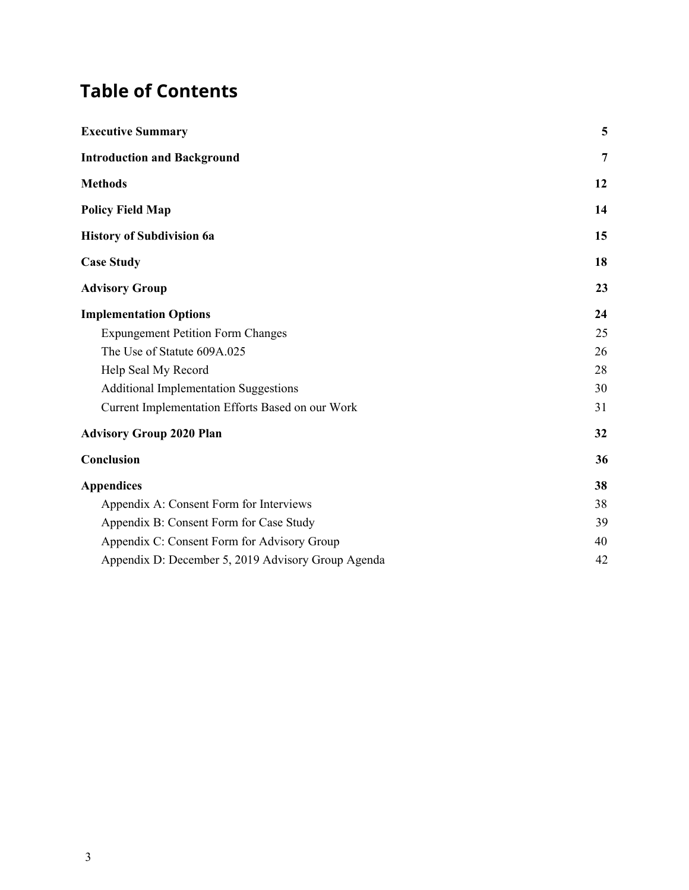# **Table of Contents**

| <b>Executive Summary</b>                           | 5              |
|----------------------------------------------------|----------------|
| <b>Introduction and Background</b>                 | $\overline{7}$ |
| <b>Methods</b>                                     | 12             |
| <b>Policy Field Map</b>                            | 14             |
| <b>History of Subdivision 6a</b>                   | 15             |
| <b>Case Study</b>                                  | 18             |
| <b>Advisory Group</b>                              | 23             |
| <b>Implementation Options</b>                      | 24             |
| <b>Expungement Petition Form Changes</b>           | 25             |
| The Use of Statute 609A.025                        | 26             |
| Help Seal My Record                                | 28             |
| <b>Additional Implementation Suggestions</b>       | 30             |
| Current Implementation Efforts Based on our Work   | 31             |
| <b>Advisory Group 2020 Plan</b>                    | 32             |
| Conclusion                                         | 36             |
| <b>Appendices</b>                                  | 38             |
| Appendix A: Consent Form for Interviews            | 38             |
| Appendix B: Consent Form for Case Study            | 39             |
| Appendix C: Consent Form for Advisory Group        | 40             |
| Appendix D: December 5, 2019 Advisory Group Agenda | 42             |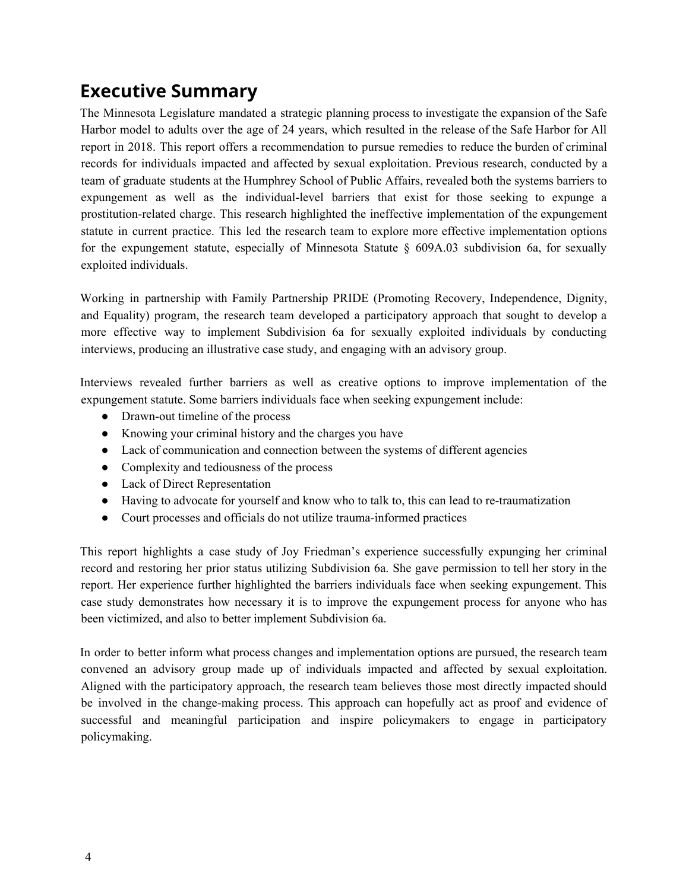# <span id="page-3-0"></span>**Executive Summary**

The Minnesota Legislature mandated a strategic planning process to investigate the expansion of the Safe Harbor model to adults over the age of 24 years, which resulted in the release of the Safe Harbor for All report in 2018. This report offers a recommendation to pursue remedies to reduce the burden of criminal records for individuals impacted and affected by sexual exploitation. Previous research, conducted by a team of graduate students at the Humphrey School of Public Affairs, revealed both the systems barriers to expungement as well as the individual-level barriers that exist for those seeking to expunge a prostitution-related charge. This research highlighted the ineffective implementation of the expungement statute in current practice. This led the research team to explore more effective implementation options for the expungement statute, especially of Minnesota Statute  $\S$  609A.03 subdivision 6a, for sexually exploited individuals.

Working in partnership with Family Partnership PRIDE (Promoting Recovery, Independence, Dignity, and Equality) program, the research team developed a participatory approach that sought to develop a more effective way to implement Subdivision 6a for sexually exploited individuals by conducting interviews, producing an illustrative case study, and engaging with an advisory group.

Interviews revealed further barriers as well as creative options to improve implementation of the expungement statute. Some barriers individuals face when seeking expungement include:

- Drawn-out timeline of the process
- Knowing your criminal history and the charges you have
- Lack of communication and connection between the systems of different agencies
- Complexity and tediousness of the process
- Lack of Direct Representation
- Having to advocate for yourself and know who to talk to, this can lead to re-traumatization
- Court processes and officials do not utilize trauma-informed practices

This report highlights a case study of Joy Friedman's experience successfully expunging her criminal record and restoring her prior status utilizing Subdivision 6a. She gave permission to tell her story in the report. Her experience further highlighted the barriers individuals face when seeking expungement. This case study demonstrates how necessary it is to improve the expungement process for anyone who has been victimized, and also to better implement Subdivision 6a.

In order to better inform what process changes and implementation options are pursued, the research team convened an advisory group made up of individuals impacted and affected by sexual exploitation. Aligned with the participatory approach, the research team believes those most directly impacted should be involved in the change-making process. This approach can hopefully act as proof and evidence of successful and meaningful participation and inspire policymakers to engage in participatory policymaking.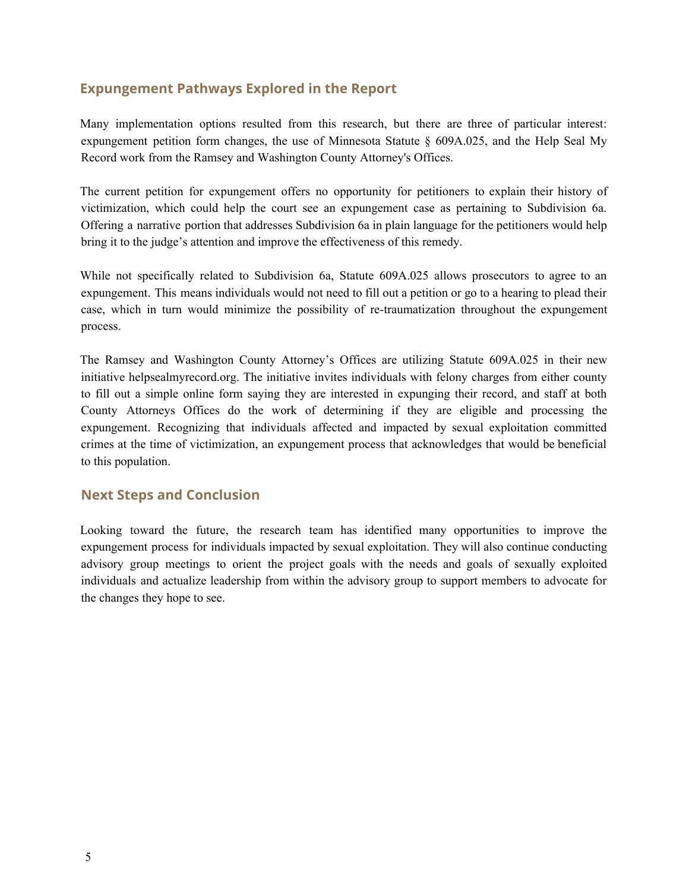#### **Expungement Pathways Explored in the Report**

Many implementation options resulted from this research, but there are three of particular interest: expungement petition form changes, the use of Minnesota Statute § 609A.025, and the Help Seal My Record work from the Ramsey and Washington County Attorney's Offices.

The current petition for expungement offers no opportunity for petitioners to explain their history of victimization, which could help the court see an expungement case as pertaining to Subdivision 6a. Offering a narrative portion that addresses Subdivision 6a in plain language for the petitioners would help bring it to the judge's attention and improve the effectiveness of this remedy.

While not specifically related to Subdivision 6a, Statute 609A.025 allows prosecutors to agree to an expungement. This means individuals would not need to fill out a petition or go to a hearing to plead their case, which in turn would minimize the possibility of re-traumatization throughout the expungement process.

The Ramsey and Washington County Attorney's Offices are utilizing Statute 609A.025 in their new initiative helpsealmyrecord.org. The initiative invites individuals with felony charges from either county to fill out a simple online form saying they are interested in expunging their record, and staff at both County Attorneys Offices do the work of determining if they are eligible and processing the expungement. Recognizing that individuals affected and impacted by sexual exploitation committed crimes at the time of victimization, an expungement process that acknowledges that would be beneficial to this population.

#### **Next Steps and Conclusion**

Looking toward the future, the research team has identified many opportunities to improve the expungement process for individuals impacted by sexual exploitation. They will also continue conducting advisory group meetings to orient the project goals with the needs and goals of sexually exploited individuals and actualize leadership from within the advisory group to support members to advocate for the changes they hope to see.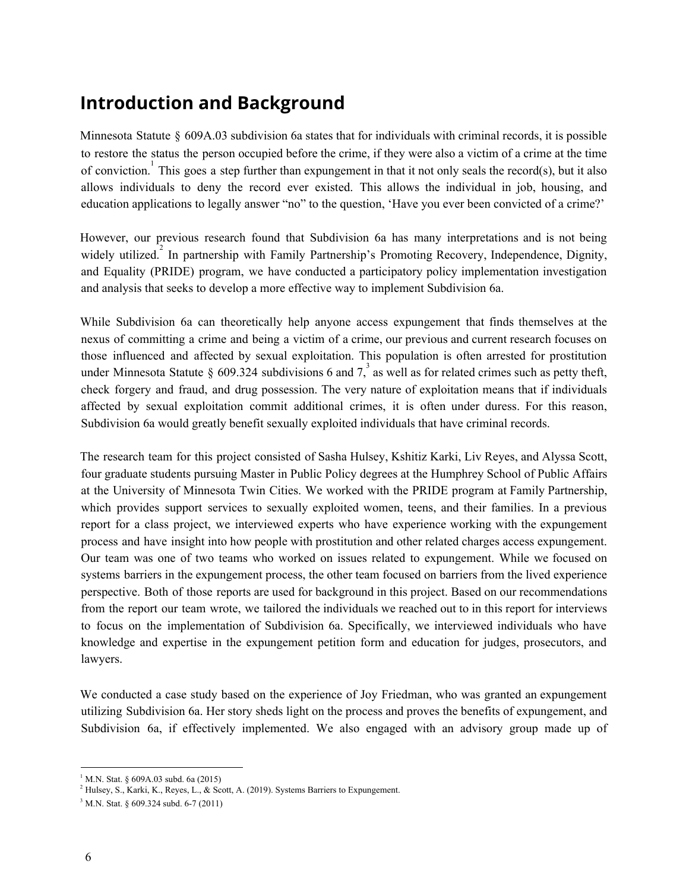# <span id="page-5-0"></span>**Introduction and Background**

Minnesota Statute § 609A.03 subdivision 6a states that for individuals with criminal records, it is possible to restore the status the person occupied before the crime, if they were also a victim of a crime at the time of conviction.<sup>1</sup> This goes a step further than expungement in that it not only seals the record(s), but it also allows individuals to deny the record ever existed. This allows the individual in job, housing, and education applications to legally answer "no" to the question, 'Have you ever been convicted of a crime?'

However, our previous research found that Subdivision 6a has many interpretations and is not being widely utilized.<sup>2</sup> In partnership with Family Partnership's Promoting Recovery, Independence, Dignity, and Equality (PRIDE) program, we have conducted a participatory policy implementation investigation and analysis that seeks to develop a more effective way to implement Subdivision 6a.

While Subdivision 6a can theoretically help anyone access expungement that finds themselves at the nexus of committing a crime and being a victim of a crime, our previous and current research focuses on those influenced and affected by sexual exploitation. This population is often arrested for prostitution under Minnesota Statute § 609.324 subdivisions 6 and 7, as well as for related crimes such as petty theft, check forgery and fraud, and drug possession. The very nature of exploitation means that if individuals affected by sexual exploitation commit additional crimes, it is often under duress. For this reason, Subdivision 6a would greatly benefit sexually exploited individuals that have criminal records.

The research team for this project consisted of Sasha Hulsey, Kshitiz Karki, Liv Reyes, and Alyssa Scott, four graduate students pursuing Master in Public Policy degrees at the Humphrey School of Public Affairs at the University of Minnesota Twin Cities. We worked with the PRIDE program at Family Partnership, which provides support services to sexually exploited women, teens, and their families. In a previous report for a class project, we interviewed experts who have experience working with the expungement process and have insight into how people with prostitution and other related charges access expungement. Our team was one of two teams who worked on issues related to expungement. While we focused on systems barriers in the expungement process, the other team focused on barriers from the lived experience perspective. Both of those reports are used for background in this project. Based on our recommendations from the report our team wrote, we tailored the individuals we reached out to in this report for interviews to focus on the implementation of Subdivision 6a. Specifically, we interviewed individuals who have knowledge and expertise in the expungement petition form and education for judges, prosecutors, and lawyers.

We conducted a case study based on the experience of Joy Friedman, who was granted an expungement utilizing Subdivision 6a. Her story sheds light on the process and proves the benefits of expungement, and Subdivision 6a, if effectively implemented. We also engaged with an advisory group made up of

 $1$  M.N. Stat. § 609A.03 subd. 6a (2015)

 $2$  Hulsey, S., Karki, K., Reyes, L., & Scott, A. (2019). Systems Barriers to Expungement.

<sup>3</sup> M.N. Stat. § 609.324 subd. 6-7 (2011)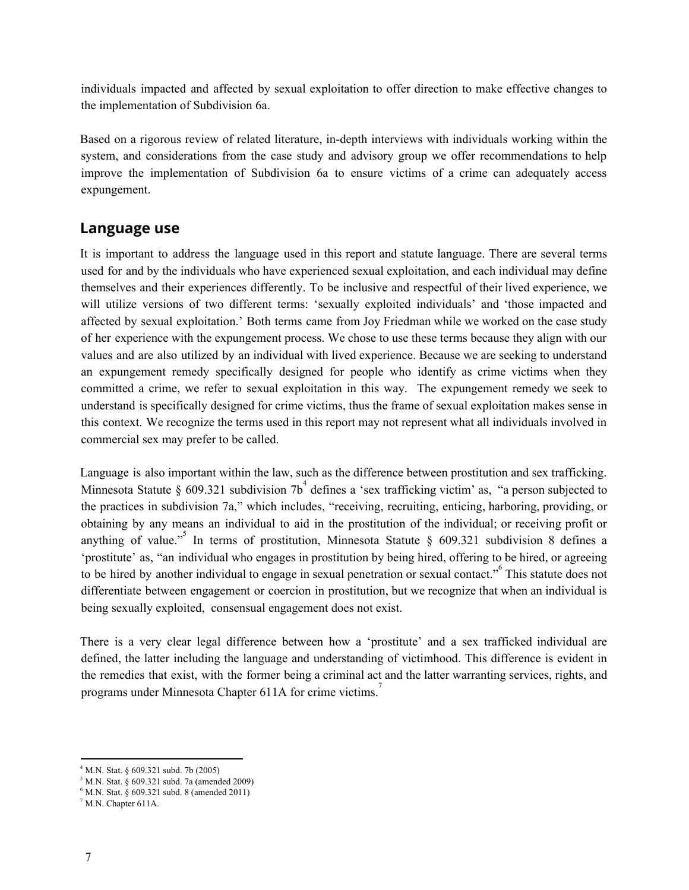individuals impacted and affected by sexual exploitation to offer direction to make effective changes to the implementation of Subdivision 6a.

Based on a rigorous review of related literature, in-depth interviews with individuals working within the system, and considerations from the case study and advisory group we offer recommendations to help improve the implementation of Subdivision 6a to ensure victims of a crime can adequately access expungement.

#### **Language use**

It is important to address the language used in this report and statute language. There are several terms used for and by the individuals who have experienced sexual exploitation, and each individual may define themselves and their experiences differently. To be inclusive and respectful of their lived experience, we will utilize versions of two different terms: 'sexually exploited individuals' and 'those impacted and affected by sexual exploitation.' Both terms came from Joy Friedman while we worked on the case study of her experience with the expungement process. We chose to use these terms because they align with our values and are also utilized by an individual with lived experience. Because we are seeking to understand an expungement remedy specifically designed for people who identify as crime victims when they committed a crime, we refer to sexual exploitation in this way. The expungement remedy we seek to understand is specifically designed for crime victims, thus the frame of sexual exploitation makes sense in this context. We recognize the terms used in this report may not represent what all individuals involved in commercial sex may prefer to be called.

Language is also important within the law, such as the difference between prostitution and sex trafficking. Minnesota Statute § 609.321 subdivision 7b<sup>4</sup> defines a 'sex trafficking victim' as, "a person subjected to the practices in subdivision 7a," which includes, "receiving, recruiting, enticing, harboring, providing, or obtaining by any means an individual to aid in the prostitution of the individual; or receiving profit or anything of value."<sup>5</sup> In terms of prostitution, Minnesota Statute § 609.321 subdivision 8 defines a 'prostitute' as, "an individual who engages in prostitution by being hired, offering to be hired, or agreeing to be hired by another individual to engage in sexual penetration or sexual contact."<sup>6</sup> This statute does not differentiate between engagement or coercion in prostitution, but we recognize that when an individual is being sexually exploited, consensual engagement does not exist.

There is a very clear legal difference between how a 'prostitute' and a sex trafficked individual are defined, the latter including the language and understanding of victimhood. This difference is evident in the remedies that exist, with the former being a criminal act and the latter warranting services, rights, and programs under Minnesota Chapter 611A for crime victims.<sup>7</sup>

<sup>4</sup> M.N. Stat. § 609.321 subd. 7b (2005)

<sup>5</sup> M.N. Stat. § 609.321 subd. 7a (amended 2009)

<sup>6</sup> M.N. Stat. § 609.321 subd. 8 (amended 2011)

 $7$  M.N. Chapter 611A.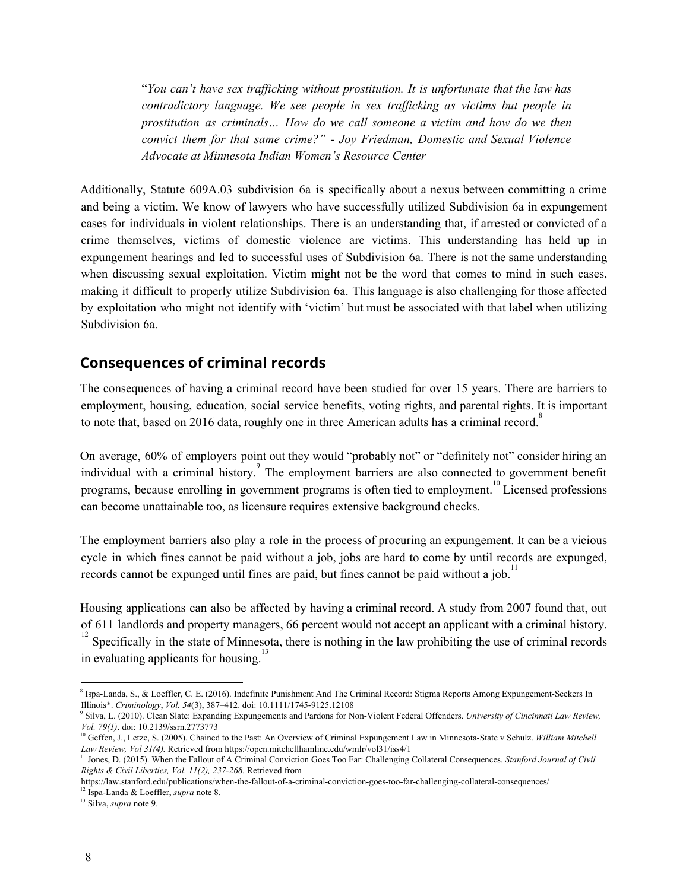"*You can't have sex traf icking without prostitution. It is unfortunate that the law has contradictory language. We see people in sex traf icking as victims but people in prostitution as criminals… How do we call someone a victim and how do we then convict them for that same crime?" - Joy Friedman, Domestic and Sexual Violence Advocate at Minnesota Indian Women's Resource Center*

Additionally, Statute 609A.03 subdivision 6a is specifically about a nexus between committing a crime and being a victim. We know of lawyers who have successfully utilized Subdivision 6a in expungement cases for individuals in violent relationships. There is an understanding that, if arrested or convicted of a crime themselves, victims of domestic violence are victims. This understanding has held up in expungement hearings and led to successful uses of Subdivision 6a. There is not the same understanding when discussing sexual exploitation. Victim might not be the word that comes to mind in such cases, making it difficult to properly utilize Subdivision 6a. This language is also challenging for those affected by exploitation who might not identify with 'victim' but must be associated with that label when utilizing Subdivision 6a.

#### **Consequences of criminal records**

The consequences of having a criminal record have been studied for over 15 years. There are barriers to employment, housing, education, social service benefits, voting rights, and parental rights. It is important to note that, based on 2016 data, roughly one in three American adults has a criminal record.<sup>8</sup>

On average, 60% of employers point out they would "probably not" or "definitely not" consider hiring an individual with a criminal history.<sup>9</sup> The employment barriers are also connected to government benefit programs, because enrolling in government programs is often tied to employment.<sup>10</sup> Licensed professions can become unattainable too, as licensure requires extensive background checks.

The employment barriers also play a role in the process of procuring an expungement. It can be a vicious cycle in which fines cannot be paid without a job, jobs are hard to come by until records are expunged, records cannot be expunged until fines are paid, but fines cannot be paid without a job.<sup>11</sup>

Housing applications can also be affected by having a criminal record. A study from 2007 found that, out of 611 landlords and property managers, 66 percent would not accept an applicant with a criminal history.

Specifically in the state of Minnesota, there is nothing in the law prohibiting the use of criminal records 12 in evaluating applicants for housing.<sup>13</sup>

<sup>13</sup> Silva, *supra* note 9.

<sup>8</sup> Ispa-Landa, S., & Loeffler, C. E. (2016). Indefinite Punishment And The Criminal Record: Stigma Reports Among Expungement-Seekers In Illinois\*. *Criminology*, *Vol. 54*(3), 387–412. doi: 10.1111/1745-9125.12108

<sup>9</sup> Silva, L. (2010). Clean Slate: Expanding Expungements and Pardons for Non-Violent Federal Offenders. *University of [Cincinnati](https://papers.ssrn.com/sol3/papers.cfm?abstract_id=2773773) Law Review, Vol. [79\(1\)](https://papers.ssrn.com/sol3/papers.cfm?abstract_id=2773773)*. doi: 10.2139/ssrn.2773773

<sup>&</sup>lt;sup>10</sup> Geffen, J., Letze, S. (2005). Chained to the Past: An Overview of Criminal Expungement Law in Minnesota-State v Schulz. William Mitchell

Law Review, Vol 31(4). Retrieved from https://open.mitchellhamline.edu/wmlr/vol31/iss4/1<br><sup>11</sup> Jones, D. (2015). When the Fallout of A Criminal Conviction Goes Too Far: Challenging Collateral Consequences. Stanford Journal *Rights & Civil Liberties, Vol. 11(2), 237-268.* Retrieved from

https://law.stanford.edu/publications/when-the-fallout-of-a-criminal-conviction-goes-too-far-challenging-collateral-consequences/ 12 Ispa-Landa & Loeffler, *supra* note 8.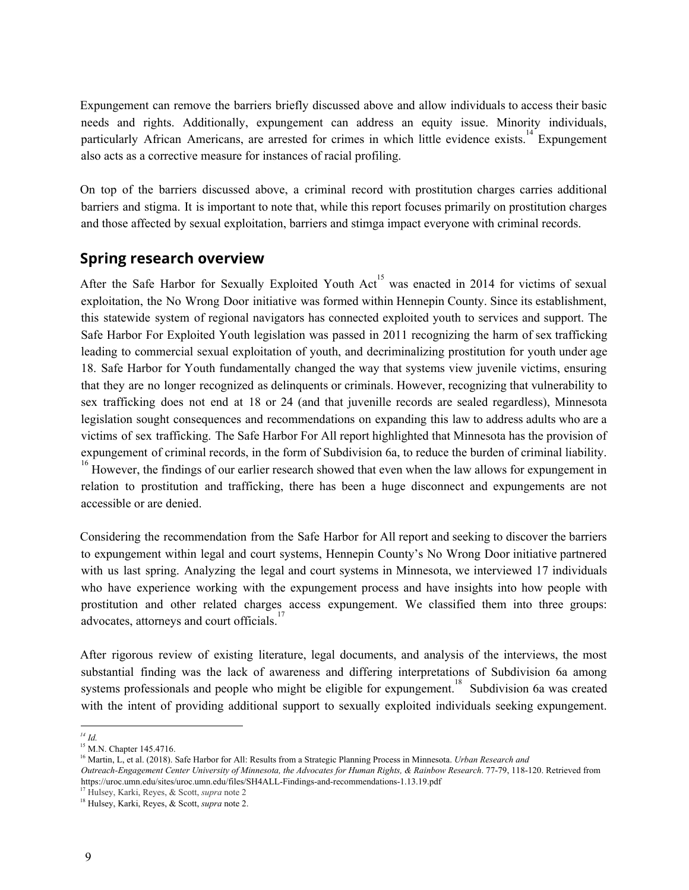Expungement can remove the barriers briefly discussed above and allow individuals to access their basic needs and rights. Additionally, expungement can address an equity issue. Minority individuals, particularly African Americans, are arrested for crimes in which little evidence exists.<sup>14</sup> Expungement also acts as a corrective measure for instances of racial profiling.

On top of the barriers discussed above, a criminal record with prostitution charges carries additional barriers and stigma. It is important to note that, while this report focuses primarily on prostitution charges and those affected by sexual exploitation, barriers and stimga impact everyone with criminal records.

# **Spring research overview**

After the Safe Harbor for Sexually Exploited Youth Act<sup>15</sup> was enacted in 2014 for victims of sexual exploitation, the No Wrong Door initiative was formed within Hennepin County. Since its establishment, this statewide system of regional navigators has connected exploited youth to services and support. The Safe Harbor For Exploited Youth legislation was passed in 2011 recognizing the harm of sex trafficking leading to commercial sexual exploitation of youth, and decriminalizing prostitution for youth under age 18. Safe Harbor for Youth fundamentally changed the way that systems view juvenile victims, ensuring that they are no longer recognized as delinquents or criminals. However, recognizing that vulnerability to sex trafficking does not end at 18 or 24 (and that juvenille records are sealed regardless), Minnesota legislation sought consequences and recommendations on expanding this law to address adults who are a victims of sex trafficking. The Safe Harbor For All report highlighted that Minnesota has the provision of expungement of criminal records, in the form of Subdivision 6a, to reduce the burden of criminal liability. <sup>16</sup> However, the findings of our earlier research showed that even when the law allows for expungement in relation to prostitution and trafficking, there has been a huge disconnect and expungements are not

accessible or are denied.

Considering the recommendation from the Safe Harbor for All report and seeking to discover the barriers to expungement within legal and court systems, Hennepin County's No Wrong Door initiative partnered with us last spring. Analyzing the legal and court systems in Minnesota, we interviewed 17 individuals who have experience working with the expungement process and have insights into how people with prostitution and other related charges access expungement. We classified them into three groups: advocates, attorneys and court officials.<sup>17</sup>

After rigorous review of existing literature, legal documents, and analysis of the interviews, the most substantial finding was the lack of awareness and differing interpretations of Subdivision 6a among systems professionals and people who might be eligible for expungement.<sup>18</sup> Subdivision 6a was created with the intent of providing additional support to sexually exploited individuals seeking expungement.

*<sup>14</sup> Id.*

<sup>&</sup>lt;sup>15</sup> M.N. Chapter 145.4716.

<sup>16</sup> Martin, L, et al. (2018). Safe Harbor for All: Results from a Strategic Planning Process in Minnesota. *Urban Research and*

Outreach-Engagement Center University of Minnesota, the Advocates for Human Rights, & Rainbow Research. 77-79, 118-120. Retrieved from https://uroc.umn.edu/sites/uroc.umn.edu/files/SH4ALL-Findings-and-recommendations-1.13.19.pdf

<sup>17</sup> Hulsey, Karki, Reyes, & Scott, *supra* note 2

<sup>18</sup> Hulsey, Karki, Reyes, & Scott, *supra* note 2.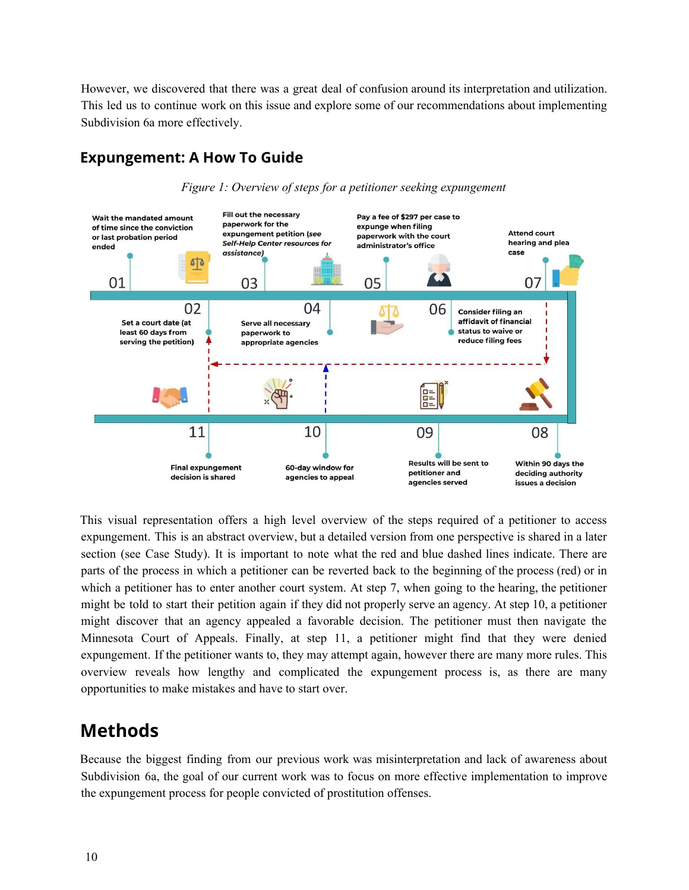However, we discovered that there was a great deal of confusion around its interpretation and utilization. This led us to continue work on this issue and explore some of our recommendations about implementing Subdivision 6a more effectively.

# **Expungement: A How To Guide**



*Figure 1: Overview of steps for a petitioner seeking expungement*

This visual representation offers a high level overview of the steps required of a petitioner to access expungement. This is an abstract overview, but a detailed version from one perspective is shared in a later section (see Case Study). It is important to note what the red and blue dashed lines indicate. There are parts of the process in which a petitioner can be reverted back to the beginning of the process (red) or in which a petitioner has to enter another court system. At step 7, when going to the hearing, the petitioner might be told to start their petition again if they did not properly serve an agency. At step 10, a petitioner might discover that an agency appealed a favorable decision. The petitioner must then navigate the Minnesota Court of Appeals. Finally, at step 11, a petitioner might find that they were denied expungement. If the petitioner wants to, they may attempt again, however there are many more rules. This overview reveals how lengthy and complicated the expungement process is, as there are many opportunities to make mistakes and have to start over.

# <span id="page-9-0"></span>**Methods**

Because the biggest finding from our previous work was misinterpretation and lack of awareness about Subdivision 6a, the goal of our current work was to focus on more effective implementation to improve the expungement process for people convicted of prostitution offenses.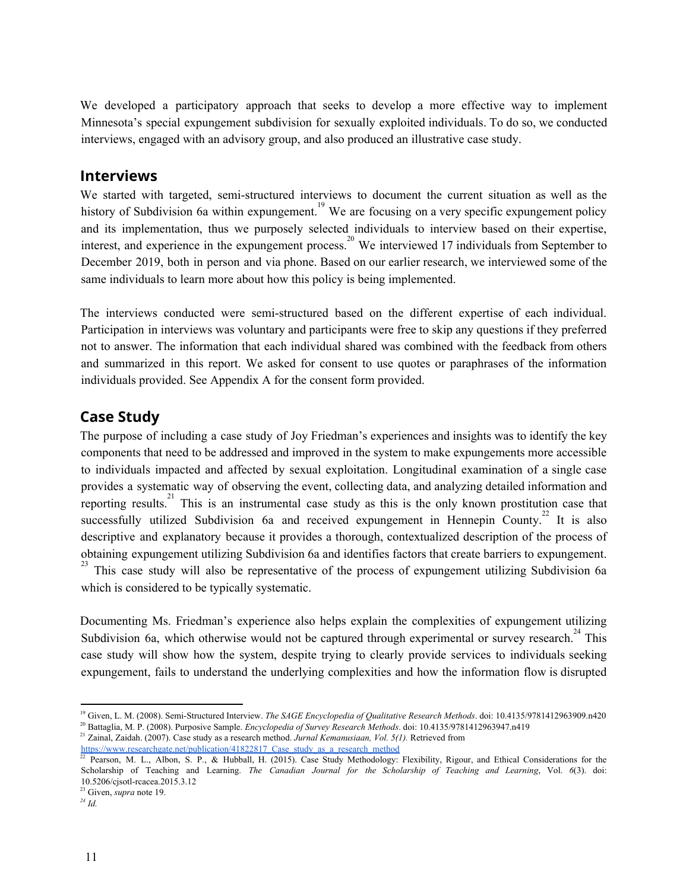We developed a participatory approach that seeks to develop a more effective way to implement Minnesota's special expungement subdivision for sexually exploited individuals. To do so, we conducted interviews, engaged with an advisory group, and also produced an illustrative case study.

#### **Interviews**

We started with targeted, semi-structured interviews to document the current situation as well as the history of Subdivision 6a within expungement.<sup>19</sup> We are focusing on a very specific expungement policy and its implementation, thus we purposely selected individuals to interview based on their expertise, interest, and experience in the expungement process.<sup>20</sup> We interviewed 17 individuals from September to December 2019, both in person and via phone. Based on our earlier research, we interviewed some of the same individuals to learn more about how this policy is being implemented.

The interviews conducted were semi-structured based on the different expertise of each individual. Participation in interviews was voluntary and participants were free to skip any questions if they preferred not to answer. The information that each individual shared was combined with the feedback from others and summarized in this report. We asked for consent to use quotes or paraphrases of the information individuals provided. See Appendix A for the consent form provided.

### **Case Study**

The purpose of including a case study of Joy Friedman's experiences and insights was to identify the key components that need to be addressed and improved in the system to make expungements more accessible to individuals impacted and affected by sexual exploitation. Longitudinal examination of a single case provides a systematic way of observing the event, collecting data, and analyzing detailed information and reporting results.<sup>21</sup> This is an instrumental case study as this is the only known prostitution case that successfully utilized Subdivision 6a and received expungement in Hennepin County.<sup>22</sup> It is also descriptive and explanatory because it provides a thorough, contextualized description of the process of obtaining expungement utilizing Subdivision 6a and identifies factors that create barriers to expungement. <sup>23</sup> This case study will also be representative of the process of expungement utilizing Subdivision 6a which is considered to be typically systematic.

Documenting Ms. Friedman's experience also helps explain the complexities of expungement utilizing Subdivision 6a, which otherwise would not be captured through experimental or survey research.<sup>24</sup> This case study will show how the system, despite trying to clearly provide services to individuals seeking expungement, fails to understand the underlying complexities and how the information flow is disrupted

<sup>19</sup> Given, L. M. (2008). Semi-Structured Interview. *The SAGE Encyclopedia of Qualitative Research Methods*. doi: 10.4135/9781412963909.n420 <sup>20</sup> Battaglia, M. P. (2008). Purposive Sample. *Encyclopedia of Survey Research Methods*. doi: 10.4135/9781412963947.n419

<sup>21</sup> Zainal, Zaidah. (2007). Case study as a research method. *Jurnal Kemanusiaan, Vol. 5(1).* Retrieved from

https://www.researchgate.net/publication/41822817 Case\_study\_as\_a\_research\_method

<sup>&</sup>lt;sup>22</sup> Pearson, M. L., Albon, S. P., & Hubball, H. (2015). Case Study Methodology: Flexibility, Rigour, and Ethical Considerations for the Scholarship of Teaching and Learning. *The Canadian Journal for the Scholarship of Teaching and Learning*, Vol. *6*(3). doi: 10.5206/cjsotl-rcacea.2015.3.12

<sup>23</sup> Given, *supra* note 19.

*<sup>24</sup> Id.*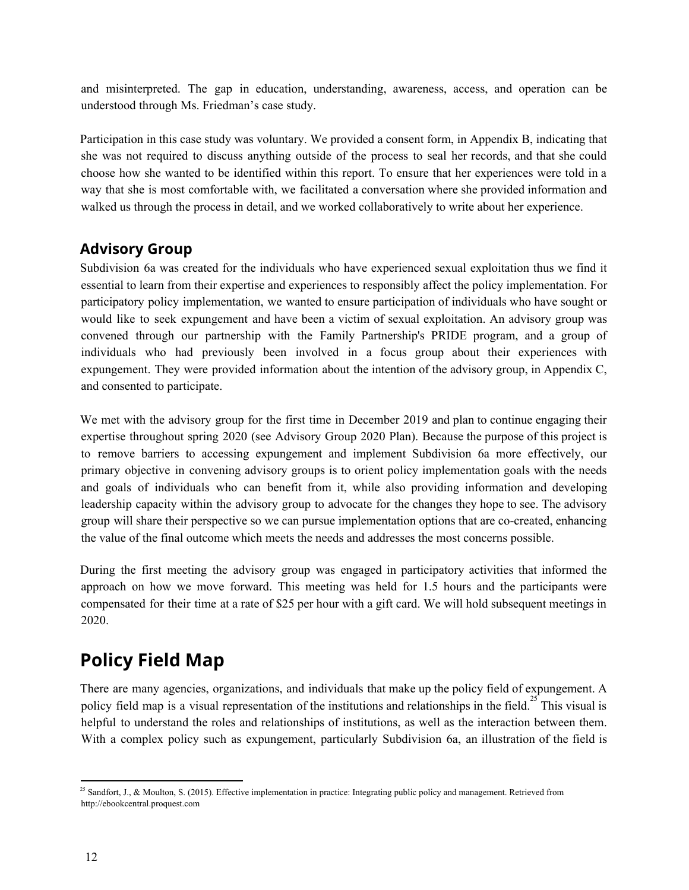and misinterpreted. The gap in education, understanding, awareness, access, and operation can be understood through Ms. Friedman's case study.

Participation in this case study was voluntary. We provided a consent form, in Appendix B, indicating that she was not required to discuss anything outside of the process to seal her records, and that she could choose how she wanted to be identified within this report. To ensure that her experiences were told in a way that she is most comfortable with, we facilitated a conversation where she provided information and walked us through the process in detail, and we worked collaboratively to write about her experience.

### **Advisory Group**

Subdivision 6a was created for the individuals who have experienced sexual exploitation thus we find it essential to learn from their expertise and experiences to responsibly affect the policy implementation. For participatory policy implementation, we wanted to ensure participation of individuals who have sought or would like to seek expungement and have been a victim of sexual exploitation. An advisory group was convened through our partnership with the Family Partnership's PRIDE program, and a group of individuals who had previously been involved in a focus group about their experiences with expungement. They were provided information about the intention of the advisory group, in Appendix C, and consented to participate.

We met with the advisory group for the first time in December 2019 and plan to continue engaging their expertise throughout spring 2020 (see Advisory Group 2020 Plan). Because the purpose of this project is to remove barriers to accessing expungement and implement Subdivision 6a more effectively, our primary objective in convening advisory groups is to orient policy implementation goals with the needs and goals of individuals who can benefit from it, while also providing information and developing leadership capacity within the advisory group to advocate for the changes they hope to see. The advisory group will share their perspective so we can pursue implementation options that are co-created, enhancing the value of the final outcome which meets the needs and addresses the most concerns possible.

During the first meeting the advisory group was engaged in participatory activities that informed the approach on how we move forward. This meeting was held for 1.5 hours and the participants were compensated for their time at a rate of \$25 per hour with a gift card. We will hold subsequent meetings in 2020.

# <span id="page-11-0"></span>**Policy Field Map**

There are many agencies, organizations, and individuals that make up the policy field of expungement. A policy field map is a visual representation of the institutions and relationships in the field.<sup>25</sup> This visual is helpful to understand the roles and relationships of institutions, as well as the interaction between them. With a complex policy such as expungement, particularly Subdivision 6a, an illustration of the field is

<sup>&</sup>lt;sup>25</sup> Sandfort, J., & Moulton, S. (2015). Effective implementation in practice: Integrating public policy and management. Retrieved from http://ebookcentral.proquest.com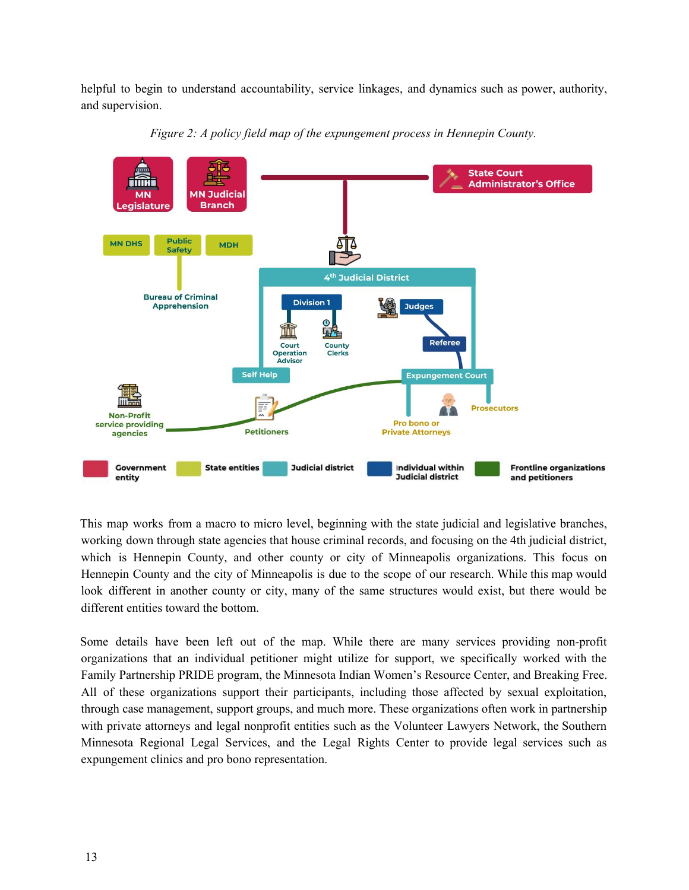helpful to begin to understand accountability, service linkages, and dynamics such as power, authority, and supervision.



*Figure 2: A policy field map of the expungement process in Hennepin County.*

This map works from a macro to micro level, beginning with the state judicial and legislative branches, working down through state agencies that house criminal records, and focusing on the 4th judicial district, which is Hennepin County, and other county or city of Minneapolis organizations. This focus on Hennepin County and the city of Minneapolis is due to the scope of our research. While this map would look different in another county or city, many of the same structures would exist, but there would be different entities toward the bottom.

Some details have been left out of the map. While there are many services providing non-profit organizations that an individual petitioner might utilize for support, we specifically worked with the Family Partnership PRIDE program, the Minnesota Indian Women's Resource Center, and Breaking Free. All of these organizations support their participants, including those affected by sexual exploitation, through case management, support groups, and much more. These organizations often work in partnership with private attorneys and legal nonprofit entities such as the Volunteer Lawyers Network, the Southern Minnesota Regional Legal Services, and the Legal Rights Center to provide legal services such as expungement clinics and pro bono representation.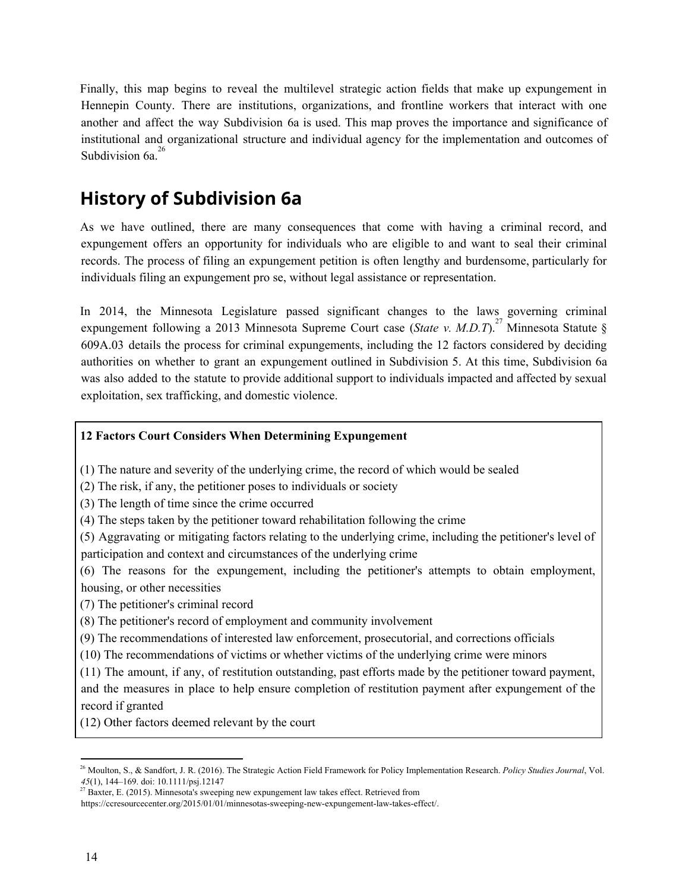Finally, this map begins to reveal the multilevel strategic action fields that make up expungement in Hennepin County. There are institutions, organizations, and frontline workers that interact with one another and affect the way Subdivision 6a is used. This map proves the importance and significance of institutional and organizational structure and individual agency for the implementation and outcomes of Subdivision 6a.<sup>26</sup>

# <span id="page-13-0"></span>**History of Subdivision 6a**

As we have outlined, there are many consequences that come with having a criminal record, and expungement offers an opportunity for individuals who are eligible to and want to seal their criminal records. The process of filing an expungement petition is often lengthy and burdensome, particularly for individuals filing an expungement pro se, without legal assistance or representation.

In 2014, the Minnesota Legislature passed significant changes to the laws governing criminal expungement following a 2013 Minnesota Supreme Court case (*State v. M.D.T*).<sup>27</sup> Minnesota Statute § 609A.03 details the process for criminal expungements, including the 12 factors considered by deciding authorities on whether to grant an expungement outlined in Subdivision 5. At this time, Subdivision 6a was also added to the statute to provide additional support to individuals impacted and affected by sexual exploitation, sex trafficking, and domestic violence.

#### **12 Factors Court Considers When Determining Expungement**

(1) The nature and severity of the underlying crime, the record of which would be sealed

(2) The risk, if any, the petitioner poses to individuals or society

(3) The length of time since the crime occurred

(4) The steps taken by the petitioner toward rehabilitation following the crime

(5) Aggravating or mitigating factors relating to the underlying crime, including the petitioner's level of participation and context and circumstances of the underlying crime

(6) The reasons for the expungement, including the petitioner's attempts to obtain employment, housing, or other necessities

(7) The petitioner's criminal record

(8) The petitioner's record of employment and community involvement

(9) The recommendations of interested law enforcement, prosecutorial, and corrections officials

(10) The recommendations of victims or whether victims of the underlying crime were minors

(11) The amount, if any, of restitution outstanding, past efforts made by the petitioner toward payment,

and the measures in place to help ensure completion of restitution payment after expungement of the record if granted

(12) Other factors deemed relevant by the court

 $27$  Baxter, E. (2015). Minnesota's sweeping new expungement law takes effect. Retrieved from

https://ccresourcecenter.org/2015/01/01/minnesotas-sweeping-new-expungement-law-takes-effect/.

<sup>26</sup> Moulton, S., & Sandfort, J. R. (2016). The Strategic Action Field Framework for Policy Implementation Research. *Policy Studies Journal*, Vol. *45*(1), 144–169. doi: 10.1111/psj.12147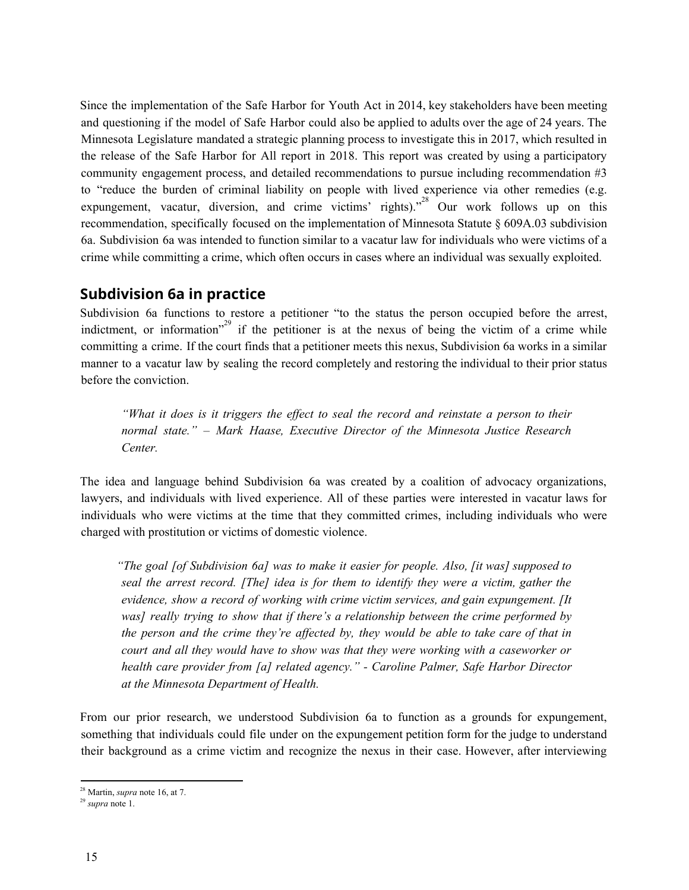Since the implementation of the Safe Harbor for Youth Act in 2014, key stakeholders have been meeting and questioning if the model of Safe Harbor could also be applied to adults over the age of 24 years. The Minnesota Legislature mandated a strategic planning process to investigate this in 2017, which resulted in the release of the Safe Harbor for All report in 2018. This report was created by using a participatory community engagement process, and detailed recommendations to pursue including recommendation #3 to "reduce the burden of criminal liability on people with lived experience via other remedies (e.g. expungement, vacatur, diversion, and crime victims' rights)."<sup>28</sup> Our work follows up on this recommendation, specifically focused on the implementation of Minnesota Statute § 609A.03 subdivision 6a. Subdivision 6a was intended to function similar to a vacatur law for individuals who were victims of a crime while committing a crime, which often occurs in cases where an individual was sexually exploited.

#### **Subdivision 6a in practice**

Subdivision 6a functions to restore a petitioner "to the status the person occupied before the arrest, indictment, or information<sup> $29$ </sup> if the petitioner is at the nexus of being the victim of a crime while committing a crime. If the court finds that a petitioner meets this nexus, Subdivision 6a works in a similar manner to a vacatur law by sealing the record completely and restoring the individual to their prior status before the conviction.

*"What it does is it triggers the ef ect to seal the record and reinstate a person to their normal state." – Mark Haase, Executive Director of the Minnesota Justice Research Center.*

The idea and language behind Subdivision 6a was created by a coalition of advocacy organizations, lawyers, and individuals with lived experience. All of these parties were interested in vacatur laws for individuals who were victims at the time that they committed crimes, including individuals who were charged with prostitution or victims of domestic violence.

*"The goal [of Subdivision 6a] was to make it easier for people. Also, [it was] supposed to seal the arrest record. [The] idea is for them to identify they were a victim, gather the evidence, show a record of working with crime victim services, and gain expungement. [It was] really trying to show that if there's a relationship between the crime performed by the person and the crime they're af ected by, they would be able to take care of that in court and all they would have to show was that they were working with a caseworker or health care provider from [a] related agency." - Caroline Palmer, Safe Harbor Director at the Minnesota Department of Health.*

From our prior research, we understood Subdivision 6a to function as a grounds for expungement, something that individuals could file under on the expungement petition form for the judge to understand their background as a crime victim and recognize the nexus in their case. However, after interviewing

<sup>28</sup> Martin, *supra* note 16, at 7.

<sup>29</sup> *supra* note 1.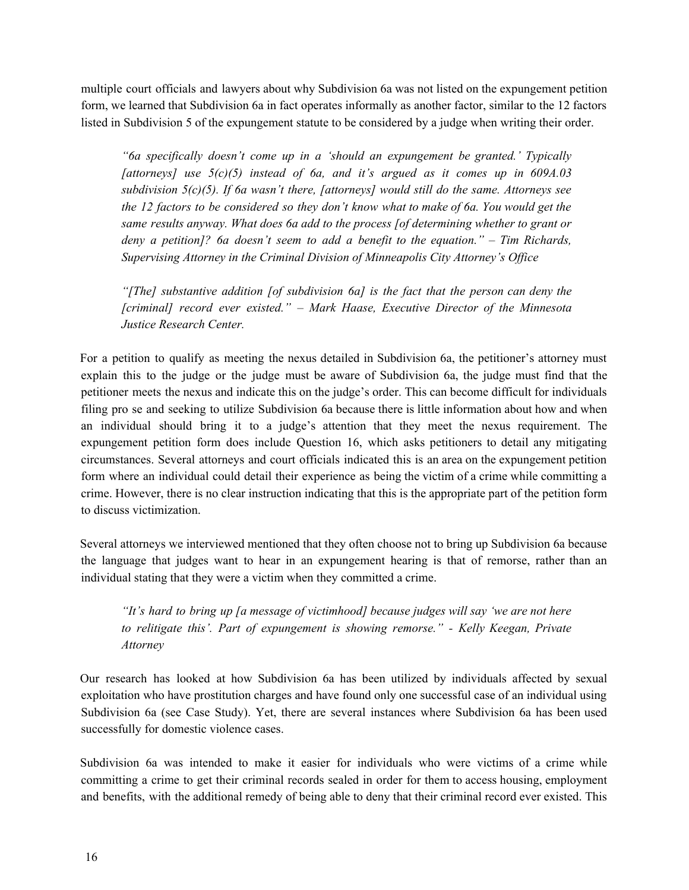multiple court officials and lawyers about why Subdivision 6a was not listed on the expungement petition form, we learned that Subdivision 6a in fact operates informally as another factor, similar to the 12 factors listed in Subdivision 5 of the expungement statute to be considered by a judge when writing their order.

*"6a specifically doesn't come up in a 'should an expungement be granted.' Typically [attorneys] use 5(c)(5) instead of 6a, and it's argued as it comes up in 609A.03 subdivision 5(c)(5). If 6a wasn't there, [attorneys] would still do the same. Attorneys see the 12 factors to be considered so they don't know what to make of 6a. You would get the same results anyway. What does 6a add to the process [of determining whether to grant or deny a petition]? 6a doesn't seem to add a benefit to the equation." – Tim Richards, Supervising Attorney in the Criminal Division of Minneapolis City Attorney's Of ice*

*"[The] substantive addition [of subdivision 6a] is the fact that the person can deny the [criminal] record ever existed." – Mark Haase, Executive Director of the Minnesota Justice Research Center.*

For a petition to qualify as meeting the nexus detailed in Subdivision 6a, the petitioner's attorney must explain this to the judge or the judge must be aware of Subdivision 6a, the judge must find that the petitioner meets the nexus and indicate this on the judge's order. This can become difficult for individuals filing pro se and seeking to utilize Subdivision 6a because there is little information about how and when an individual should bring it to a judge's attention that they meet the nexus requirement. The expungement petition form does include Question 16, which asks petitioners to detail any mitigating circumstances. Several attorneys and court officials indicated this is an area on the expungement petition form where an individual could detail their experience as being the victim of a crime while committing a crime. However, there is no clear instruction indicating that this is the appropriate part of the petition form to discuss victimization.

Several attorneys we interviewed mentioned that they often choose not to bring up Subdivision 6a because the language that judges want to hear in an expungement hearing is that of remorse, rather than an individual stating that they were a victim when they committed a crime.

*"It's hard to bring up [a message of victimhood] because judges will say 'we are not here to relitigate this'. Part of expungement is showing remorse." - Kelly Keegan, Private Attorney*

Our research has looked at how Subdivision 6a has been utilized by individuals affected by sexual exploitation who have prostitution charges and have found only one successful case of an individual using Subdivision 6a (see Case Study). Yet, there are several instances where Subdivision 6a has been used successfully for domestic violence cases.

Subdivision 6a was intended to make it easier for individuals who were victims of a crime while committing a crime to get their criminal records sealed in order for them to access housing, employment and benefits, with the additional remedy of being able to deny that their criminal record ever existed. This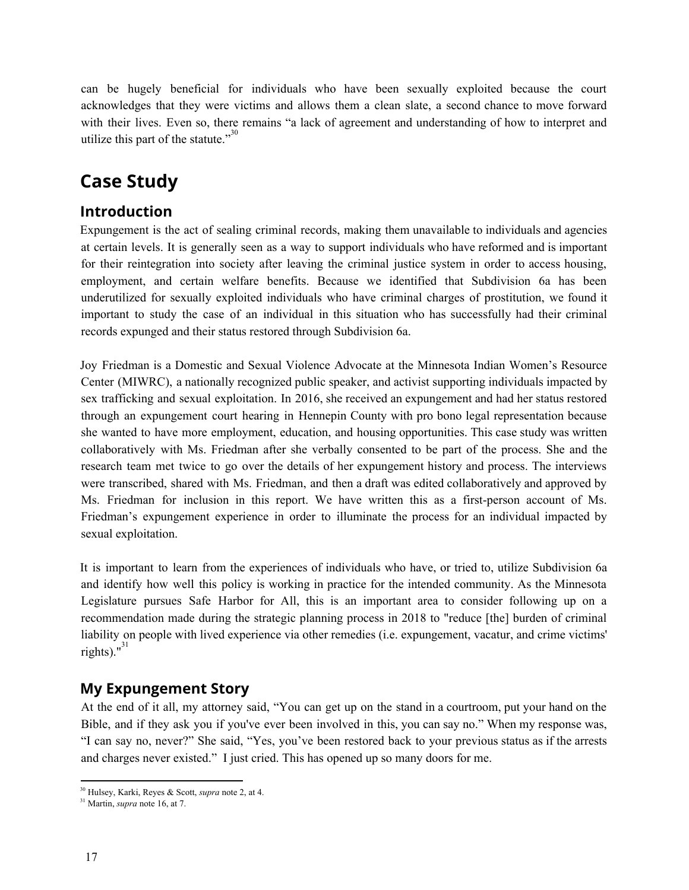can be hugely beneficial for individuals who have been sexually exploited because the court acknowledges that they were victims and allows them a clean slate, a second chance to move forward with their lives. Even so, there remains "a lack of agreement and understanding of how to interpret and utilize this part of the statute."<sup>30</sup>

# <span id="page-16-0"></span>**Case Study**

# **Introduction**

Expungement is the act of sealing criminal records, making them unavailable to individuals and agencies at certain levels. It is generally seen as a way to support individuals who have reformed and is important for their reintegration into society after leaving the criminal justice system in order to access housing, employment, and certain welfare benefits. Because we identified that Subdivision 6a has been underutilized for sexually exploited individuals who have criminal charges of prostitution, we found it important to study the case of an individual in this situation who has successfully had their criminal records expunged and their status restored through Subdivision 6a.

Joy Friedman is a Domestic and Sexual Violence Advocate at the Minnesota Indian Women's Resource Center (MIWRC), a nationally recognized public speaker, and activist supporting individuals impacted by sex trafficking and sexual exploitation. In 2016, she received an expungement and had her status restored through an expungement court hearing in Hennepin County with pro bono legal representation because she wanted to have more employment, education, and housing opportunities. This case study was written collaboratively with Ms. Friedman after she verbally consented to be part of the process. She and the research team met twice to go over the details of her expungement history and process. The interviews were transcribed, shared with Ms. Friedman, and then a draft was edited collaboratively and approved by Ms. Friedman for inclusion in this report. We have written this as a first-person account of Ms. Friedman's expungement experience in order to illuminate the process for an individual impacted by sexual exploitation.

It is important to learn from the experiences of individuals who have, or tried to, utilize Subdivision 6a and identify how well this policy is working in practice for the intended community. As the Minnesota Legislature pursues Safe Harbor for All, this is an important area to consider following up on a recommendation made during the strategic planning process in 2018 to "reduce [the] burden of criminal liability on people with lived experience via other remedies (i.e. expungement, vacatur, and crime victims' rights). $^{\prime\prime}$ <sup>31</sup>

### **My Expungement Story**

At the end of it all, my attorney said, "You can get up on the stand in a courtroom, put your hand on the Bible, and if they ask you if you've ever been involved in this, you can say no." When my response was, "I can say no, never?" She said, "Yes, you've been restored back to your previous status as if the arrests and charges never existed." I just cried. This has opened up so many doors for me.

<sup>30</sup> Hulsey, Karki, Reyes & Scott, *supra* note 2, at 4.

<sup>31</sup> Martin, *supra* note 16, at 7.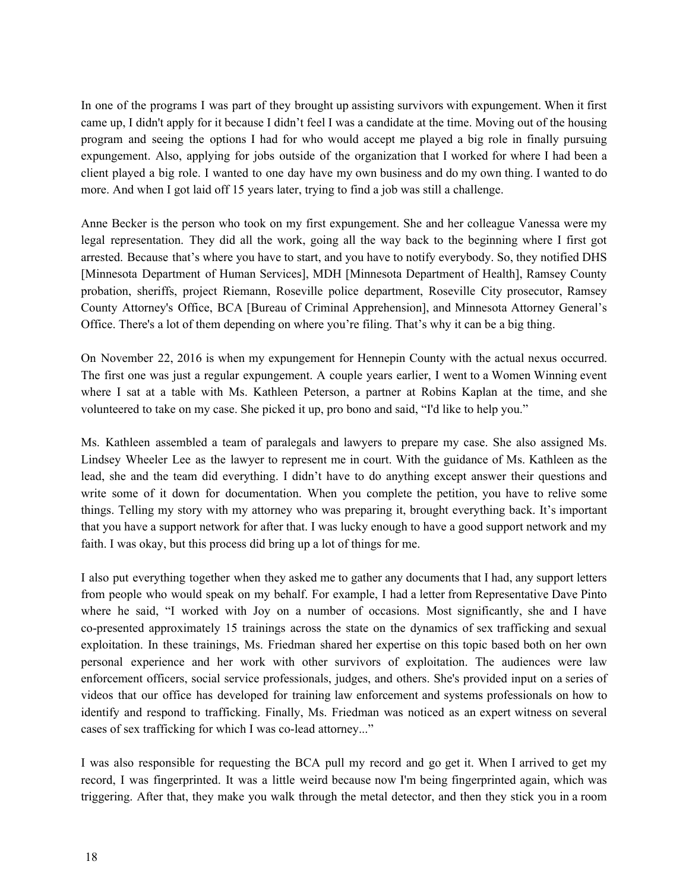In one of the programs I was part of they brought up assisting survivors with expungement. When it first came up, I didn't apply for it because I didn't feel I was a candidate at the time. Moving out of the housing program and seeing the options I had for who would accept me played a big role in finally pursuing expungement. Also, applying for jobs outside of the organization that I worked for where I had been a client played a big role. I wanted to one day have my own business and do my own thing. I wanted to do more. And when I got laid off 15 years later, trying to find a job was still a challenge.

Anne Becker is the person who took on my first expungement. She and her colleague Vanessa were my legal representation. They did all the work, going all the way back to the beginning where I first got arrested. Because that's where you have to start, and you have to notify everybody. So, they notified DHS [Minnesota Department of Human Services], MDH [Minnesota Department of Health], Ramsey County probation, sheriffs, project Riemann, Roseville police department, Roseville City prosecutor, Ramsey County Attorney's Office, BCA [Bureau of Criminal Apprehension], and Minnesota Attorney General's Office. There's a lot of them depending on where you're filing. That's why it can be a big thing.

On November 22, 2016 is when my expungement for Hennepin County with the actual nexus occurred. The first one was just a regular expungement. A couple years earlier, I went to a Women Winning event where I sat at a table with Ms. Kathleen Peterson, a partner at Robins Kaplan at the time, and she volunteered to take on my case. She picked it up, pro bono and said, "I'd like to help you."

Ms. Kathleen assembled a team of paralegals and lawyers to prepare my case. She also assigned Ms. Lindsey Wheeler Lee as the lawyer to represent me in court. With the guidance of Ms. Kathleen as the lead, she and the team did everything. I didn't have to do anything except answer their questions and write some of it down for documentation. When you complete the petition, you have to relive some things. Telling my story with my attorney who was preparing it, brought everything back. It's important that you have a support network for after that. I was lucky enough to have a good support network and my faith. I was okay, but this process did bring up a lot of things for me.

I also put everything together when they asked me to gather any documents that I had, any support letters from people who would speak on my behalf. For example, I had a letter from Representative Dave Pinto where he said, "I worked with Joy on a number of occasions. Most significantly, she and I have co-presented approximately 15 trainings across the state on the dynamics of sex trafficking and sexual exploitation. In these trainings, Ms. Friedman shared her expertise on this topic based both on her own personal experience and her work with other survivors of exploitation. The audiences were law enforcement officers, social service professionals, judges, and others. She's provided input on a series of videos that our office has developed for training law enforcement and systems professionals on how to identify and respond to trafficking. Finally, Ms. Friedman was noticed as an expert witness on several cases of sex trafficking for which I was co-lead attorney..."

I was also responsible for requesting the BCA pull my record and go get it. When I arrived to get my record, I was fingerprinted. It was a little weird because now I'm being fingerprinted again, which was triggering. After that, they make you walk through the metal detector, and then they stick you in a room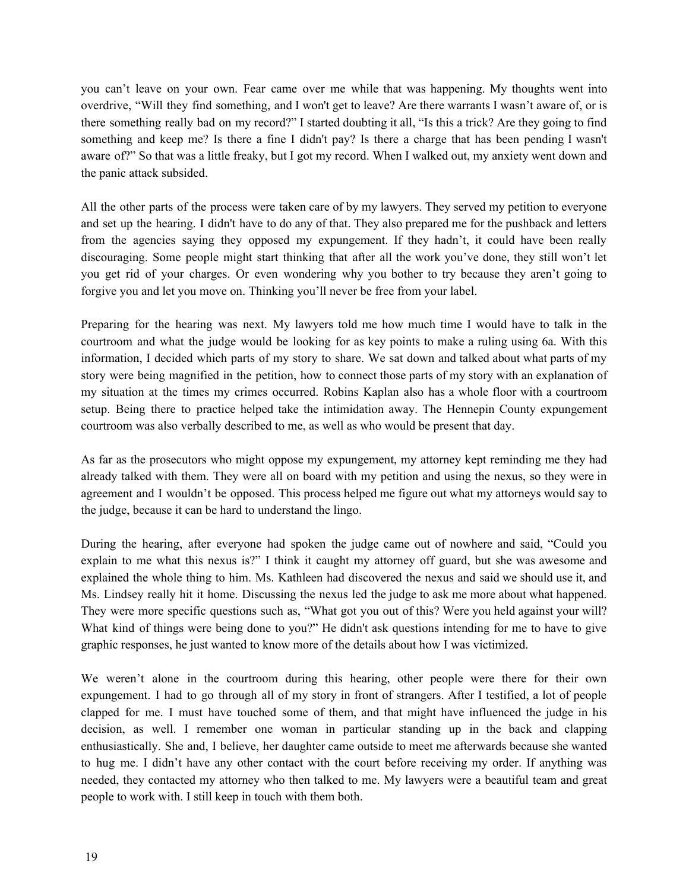you can't leave on your own. Fear came over me while that was happening. My thoughts went into overdrive, "Will they find something, and I won't get to leave? Are there warrants I wasn't aware of, or is there something really bad on my record?" I started doubting it all, "Is this a trick? Are they going to find something and keep me? Is there a fine I didn't pay? Is there a charge that has been pending I wasn't aware of?" So that was a little freaky, but I got my record. When I walked out, my anxiety went down and the panic attack subsided.

All the other parts of the process were taken care of by my lawyers. They served my petition to everyone and set up the hearing. I didn't have to do any of that. They also prepared me for the pushback and letters from the agencies saying they opposed my expungement. If they hadn't, it could have been really discouraging. Some people might start thinking that after all the work you've done, they still won't let you get rid of your charges. Or even wondering why you bother to try because they aren't going to forgive you and let you move on. Thinking you'll never be free from your label.

Preparing for the hearing was next. My lawyers told me how much time I would have to talk in the courtroom and what the judge would be looking for as key points to make a ruling using 6a. With this information, I decided which parts of my story to share. We sat down and talked about what parts of my story were being magnified in the petition, how to connect those parts of my story with an explanation of my situation at the times my crimes occurred. Robins Kaplan also has a whole floor with a courtroom setup. Being there to practice helped take the intimidation away. The Hennepin County expungement courtroom was also verbally described to me, as well as who would be present that day.

As far as the prosecutors who might oppose my expungement, my attorney kept reminding me they had already talked with them. They were all on board with my petition and using the nexus, so they were in agreement and I wouldn't be opposed. This process helped me figure out what my attorneys would say to the judge, because it can be hard to understand the lingo.

During the hearing, after everyone had spoken the judge came out of nowhere and said, "Could you explain to me what this nexus is?" I think it caught my attorney off guard, but she was awesome and explained the whole thing to him. Ms. Kathleen had discovered the nexus and said we should use it, and Ms. Lindsey really hit it home. Discussing the nexus led the judge to ask me more about what happened. They were more specific questions such as, "What got you out of this? Were you held against your will? What kind of things were being done to you?" He didn't ask questions intending for me to have to give graphic responses, he just wanted to know more of the details about how I was victimized.

We weren't alone in the courtroom during this hearing, other people were there for their own expungement. I had to go through all of my story in front of strangers. After I testified, a lot of people clapped for me. I must have touched some of them, and that might have influenced the judge in his decision, as well. I remember one woman in particular standing up in the back and clapping enthusiastically. She and, I believe, her daughter came outside to meet me afterwards because she wanted to hug me. I didn't have any other contact with the court before receiving my order. If anything was needed, they contacted my attorney who then talked to me. My lawyers were a beautiful team and great people to work with. I still keep in touch with them both.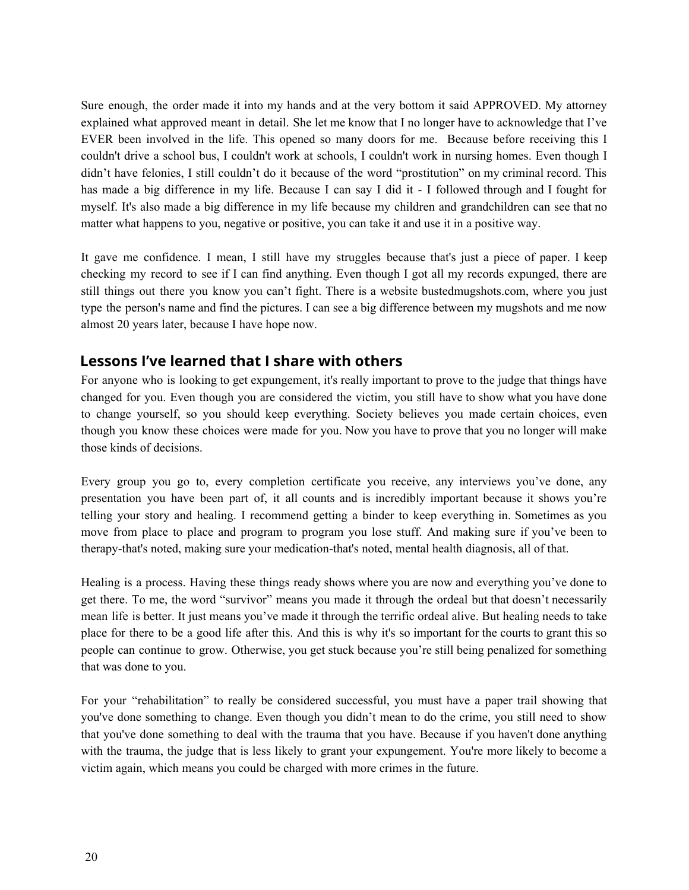Sure enough, the order made it into my hands and at the very bottom it said APPROVED. My attorney explained what approved meant in detail. She let me know that I no longer have to acknowledge that I've EVER been involved in the life. This opened so many doors for me. Because before receiving this I couldn't drive a school bus, I couldn't work at schools, I couldn't work in nursing homes. Even though I didn't have felonies, I still couldn't do it because of the word "prostitution" on my criminal record. This has made a big difference in my life. Because I can say I did it - I followed through and I fought for myself. It's also made a big difference in my life because my children and grandchildren can see that no matter what happens to you, negative or positive, you can take it and use it in a positive way.

It gave me confidence. I mean, I still have my struggles because that's just a piece of paper. I keep checking my record to see if I can find anything. Even though I got all my records expunged, there are still things out there you know you can't fight. There is a website bustedmugshots.com, where you just type the person's name and find the pictures. I can see a big difference between my mugshots and me now almost 20 years later, because I have hope now.

### **Lessons I've learned that I share with others**

For anyone who is looking to get expungement, it's really important to prove to the judge that things have changed for you. Even though you are considered the victim, you still have to show what you have done to change yourself, so you should keep everything. Society believes you made certain choices, even though you know these choices were made for you. Now you have to prove that you no longer will make those kinds of decisions.

Every group you go to, every completion certificate you receive, any interviews you've done, any presentation you have been part of, it all counts and is incredibly important because it shows you're telling your story and healing. I recommend getting a binder to keep everything in. Sometimes as you move from place to place and program to program you lose stuff. And making sure if you've been to therapy-that's noted, making sure your medication-that's noted, mental health diagnosis, all of that.

Healing is a process. Having these things ready shows where you are now and everything you've done to get there. To me, the word "survivor" means you made it through the ordeal but that doesn't necessarily mean life is better. It just means you've made it through the terrific ordeal alive. But healing needs to take place for there to be a good life after this. And this is why it's so important for the courts to grant this so people can continue to grow. Otherwise, you get stuck because you're still being penalized for something that was done to you.

For your "rehabilitation" to really be considered successful, you must have a paper trail showing that you've done something to change. Even though you didn't mean to do the crime, you still need to show that you've done something to deal with the trauma that you have. Because if you haven't done anything with the trauma, the judge that is less likely to grant your expungement. You're more likely to become a victim again, which means you could be charged with more crimes in the future.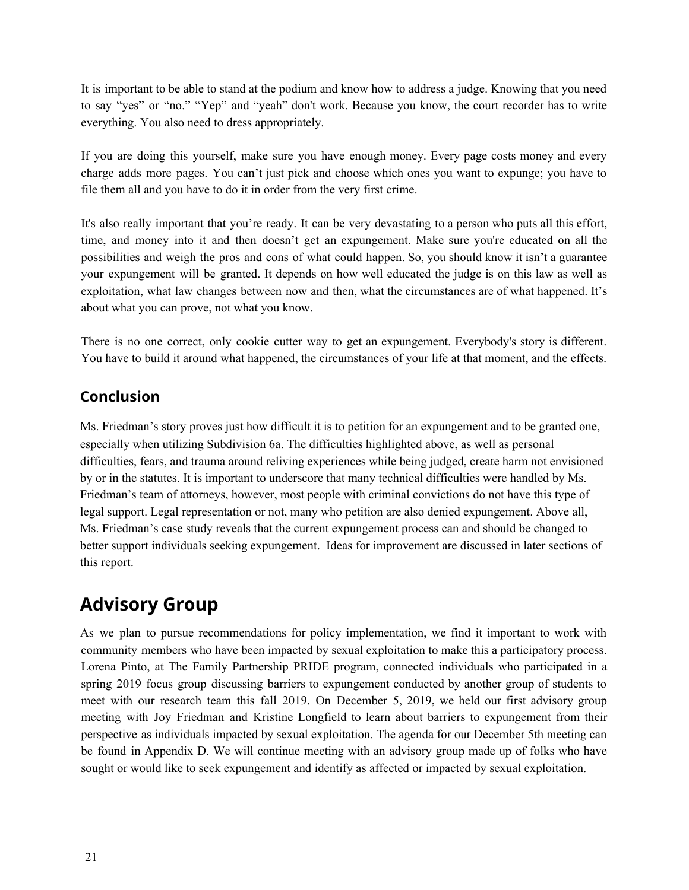It is important to be able to stand at the podium and know how to address a judge. Knowing that you need to say "yes" or "no." "Yep" and "yeah" don't work. Because you know, the court recorder has to write everything. You also need to dress appropriately.

If you are doing this yourself, make sure you have enough money. Every page costs money and every charge adds more pages. You can't just pick and choose which ones you want to expunge; you have to file them all and you have to do it in order from the very first crime.

It's also really important that you're ready. It can be very devastating to a person who puts all this effort, time, and money into it and then doesn't get an expungement. Make sure you're educated on all the possibilities and weigh the pros and cons of what could happen. So, you should know it isn't a guarantee your expungement will be granted. It depends on how well educated the judge is on this law as well as exploitation, what law changes between now and then, what the circumstances are of what happened. It's about what you can prove, not what you know.

There is no one correct, only cookie cutter way to get an expungement. Everybody's story is different. You have to build it around what happened, the circumstances of your life at that moment, and the effects.

### **Conclusion**

Ms. Friedman's story proves just how difficult it is to petition for an expungement and to be granted one, especially when utilizing Subdivision 6a. The difficulties highlighted above, as well as personal difficulties, fears, and trauma around reliving experiences while being judged, create harm not envisioned by or in the statutes. It is important to underscore that many technical difficulties were handled by Ms. Friedman's team of attorneys, however, most people with criminal convictions do not have this type of legal support. Legal representation or not, many who petition are also denied expungement. Above all, Ms. Friedman's case study reveals that the current expungement process can and should be changed to better support individuals seeking expungement. Ideas for improvement are discussed in later sections of this report.

# <span id="page-20-0"></span>**Advisory Group**

As we plan to pursue recommendations for policy implementation, we find it important to work with community members who have been impacted by sexual exploitation to make this a participatory process. Lorena Pinto, at The Family Partnership PRIDE program, connected individuals who participated in a spring 2019 focus group discussing barriers to expungement conducted by another group of students to meet with our research team this fall 2019. On December 5, 2019, we held our first advisory group meeting with Joy Friedman and Kristine Longfield to learn about barriers to expungement from their perspective as individuals impacted by sexual exploitation. The agenda for our December 5th meeting can be found in Appendix D. We will continue meeting with an advisory group made up of folks who have sought or would like to seek expungement and identify as affected or impacted by sexual exploitation.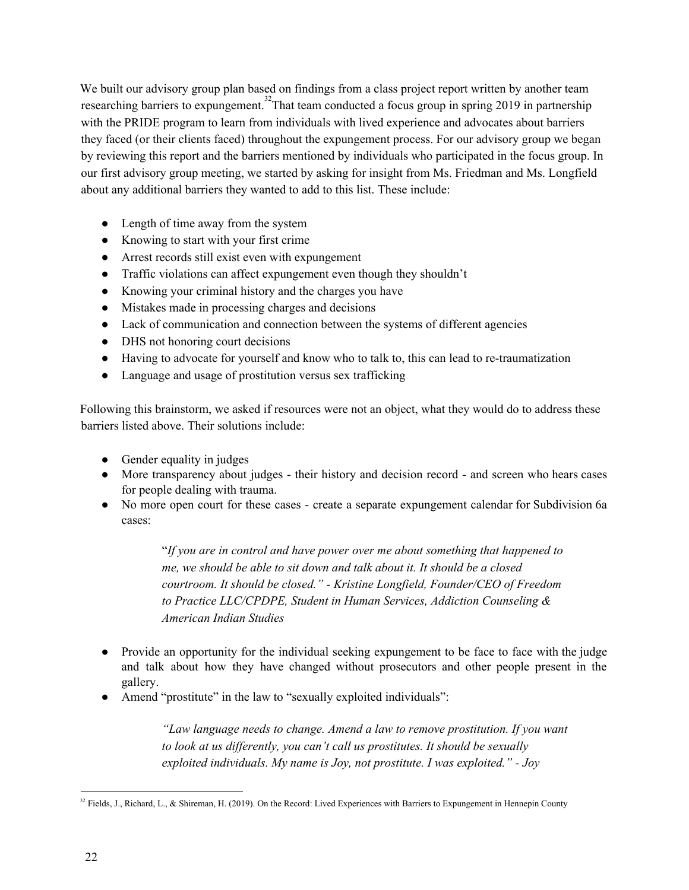We built our advisory group plan based on findings from a class project report written by another team researching barriers to expungement.<sup>32</sup>That team conducted a focus group in spring 2019 in partnership with the PRIDE program to learn from individuals with lived experience and advocates about barriers they faced (or their clients faced) throughout the expungement process. For our advisory group we began by reviewing this report and the barriers mentioned by individuals who participated in the focus group. In our first advisory group meeting, we started by asking for insight from Ms. Friedman and Ms. Longfield about any additional barriers they wanted to add to this list. These include:

- Length of time away from the system
- Knowing to start with your first crime
- Arrest records still exist even with expungement
- Traffic violations can affect expungement even though they shouldn't
- Knowing your criminal history and the charges you have
- Mistakes made in processing charges and decisions
- Lack of communication and connection between the systems of different agencies
- DHS not honoring court decisions
- Having to advocate for yourself and know who to talk to, this can lead to re-traumatization
- Language and usage of prostitution versus sex trafficking

Following this brainstorm, we asked if resources were not an object, what they would do to address these barriers listed above. Their solutions include:

- Gender equality in judges
- More transparency about judges their history and decision record and screen who hears cases for people dealing with trauma.
- No more open court for these cases create a separate expungement calendar for Subdivision 6a cases:

"*If you are in control and have power over me about something that happened to me, we should be able to sit down and talk about it. It should be a closed courtroom. It should be closed." - Kristine Longfield, Founder/CEO of Freedom to Practice LLC/CPDPE, Student in Human Services, Addiction Counseling & American Indian Studies*

- Provide an opportunity for the individual seeking expungement to be face to face with the judge and talk about how they have changed without prosecutors and other people present in the gallery.
- Amend "prostitute" in the law to "sexually exploited individuals":

*"Law language needs to change. Amend a law to remove prostitution. If you want to look at us dif erently, you can't call us prostitutes. It should be sexually exploited individuals. My name is Joy, not prostitute. I was exploited." - Joy*

<sup>&</sup>lt;sup>32</sup> Fields, J., Richard, L., & Shireman, H. (2019). On the Record: Lived Experiences with Barriers to Expungement in Hennepin County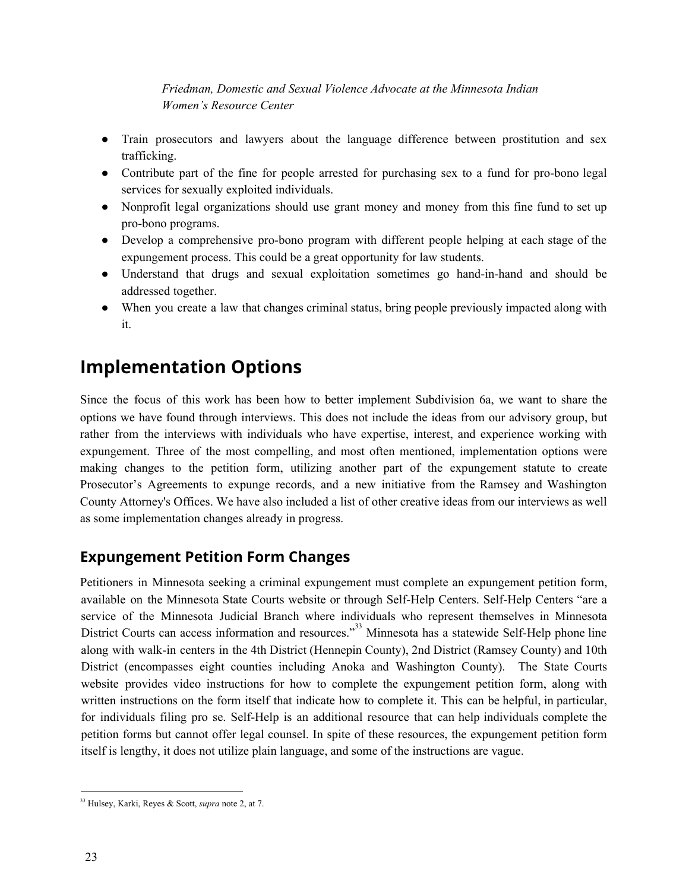#### *Friedman, Domestic and Sexual Violence Advocate at the Minnesota Indian Women's Resource Center*

- Train prosecutors and lawyers about the language difference between prostitution and sex trafficking.
- Contribute part of the fine for people arrested for purchasing sex to a fund for pro-bono legal services for sexually exploited individuals.
- Nonprofit legal organizations should use grant money and money from this fine fund to set up pro-bono programs.
- Develop a comprehensive pro-bono program with different people helping at each stage of the expungement process. This could be a great opportunity for law students.
- Understand that drugs and sexual exploitation sometimes go hand-in-hand and should be addressed together.
- When you create a law that changes criminal status, bring people previously impacted along with it.

# <span id="page-22-0"></span>**Implementation Options**

Since the focus of this work has been how to better implement Subdivision 6a, we want to share the options we have found through interviews. This does not include the ideas from our advisory group, but rather from the interviews with individuals who have expertise, interest, and experience working with expungement. Three of the most compelling, and most often mentioned, implementation options were making changes to the petition form, utilizing another part of the expungement statute to create Prosecutor's Agreements to expunge records, and a new initiative from the Ramsey and Washington County Attorney's Offices. We have also included a list of other creative ideas from our interviews as well as some implementation changes already in progress.

# <span id="page-22-1"></span>**Expungement Petition Form Changes**

Petitioners in Minnesota seeking a criminal expungement must complete an expungement petition form, available on the Minnesota State Courts website or through Self-Help Centers. Self-Help Centers "are a service of the Minnesota Judicial Branch where individuals who represent themselves in Minnesota District Courts can access information and resources."<sup>33</sup> Minnesota has a statewide Self-Help phone line along with walk-in centers in the 4th District (Hennepin County), 2nd District (Ramsey County) and 10th District (encompasses eight counties including Anoka and Washington County). The State Courts website provides video instructions for how to complete the expungement petition form, along with written instructions on the form itself that indicate how to complete it. This can be helpful, in particular, for individuals filing pro se. Self-Help is an additional resource that can help individuals complete the petition forms but cannot offer legal counsel. In spite of these resources, the expungement petition form itself is lengthy, it does not utilize plain language, and some of the instructions are vague.

<sup>33</sup> Hulsey, Karki, Reyes & Scott, *supra* note 2, at 7.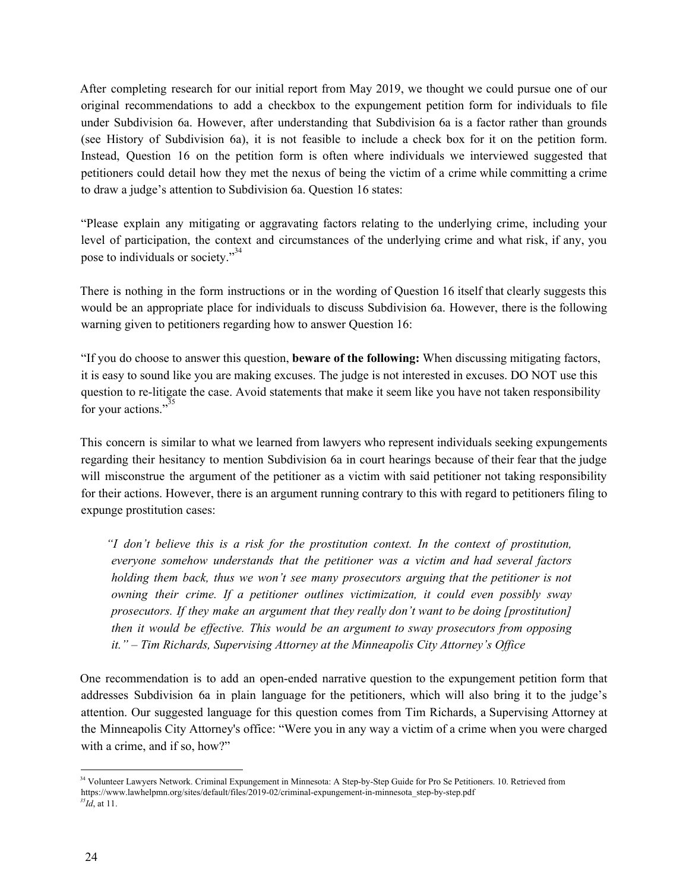After completing research for our initial report from May 2019, we thought we could pursue one of our original recommendations to add a checkbox to the expungement petition form for individuals to file under Subdivision 6a. However, after understanding that Subdivision 6a is a factor rather than grounds (see History of Subdivision 6a), it is not feasible to include a check box for it on the petition form. Instead, Question 16 on the petition form is often where individuals we interviewed suggested that petitioners could detail how they met the nexus of being the victim of a crime while committing a crime to draw a judge's attention to Subdivision 6a. Question 16 states:

"Please explain any mitigating or aggravating factors relating to the underlying crime, including your level of participation, the context and circumstances of the underlying crime and what risk, if any, you pose to individuals or society."<sup>34</sup>

There is nothing in the form instructions or in the wording of Question 16 itself that clearly suggests this would be an appropriate place for individuals to discuss Subdivision 6a. However, there is the following warning given to petitioners regarding how to answer Question 16:

"If you do choose to answer this question, **beware of the following:** When discussing mitigating factors, it is easy to sound like you are making excuses. The judge is not interested in excuses. DO NOT use this question to re-litigate the case. Avoid statements that make it seem like you have not taken responsibility for your actions."<sup>35</sup>

This concern is similar to what we learned from lawyers who represent individuals seeking expungements regarding their hesitancy to mention Subdivision 6a in court hearings because of their fear that the judge will misconstrue the argument of the petitioner as a victim with said petitioner not taking responsibility for their actions. However, there is an argument running contrary to this with regard to petitioners filing to expunge prostitution cases:

*"I don't believe this is a risk for the prostitution context. In the context of prostitution, everyone somehow understands that the petitioner was a victim and had several factors holding them back, thus we won't see many prosecutors arguing that the petitioner is not owning their crime. If a petitioner outlines victimization, it could even possibly sway prosecutors. If they make an argument that they really don't want to be doing [prostitution] then it would be ef ective. This would be an argument to sway prosecutors from opposing it." – Tim Richards, Supervising Attorney at the Minneapolis City Attorney's Of ice*

One recommendation is to add an open-ended narrative question to the expungement petition form that addresses Subdivision 6a in plain language for the petitioners, which will also bring it to the judge's attention. Our suggested language for this question comes from Tim Richards, a Supervising Attorney at the Minneapolis City Attorney's office: "Were you in any way a victim of a crime when you were charged with a crime, and if so, how?"

<sup>&</sup>lt;sup>34</sup> Volunteer Lawyers Network. Criminal Expungement in Minnesota: A Step-by-Step Guide for Pro Se Petitioners. 10. Retrieved from https://www.lawhelpmn.org/sites/default/files/2019-02/criminal-expungement-in-minnesota\_step-by-step.pdf *35 Id*, at 11.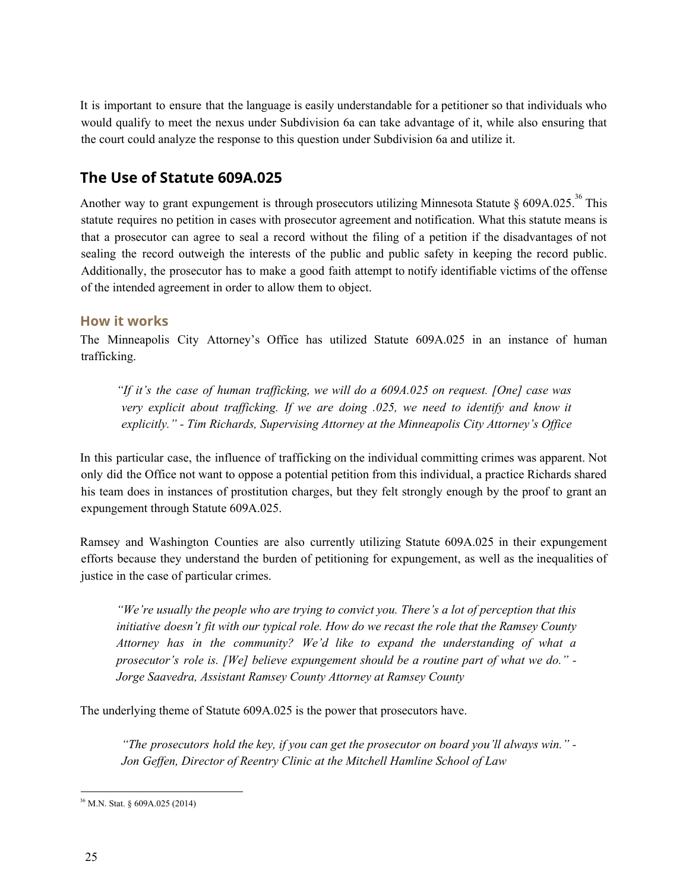It is important to ensure that the language is easily understandable for a petitioner so that individuals who would qualify to meet the nexus under Subdivision 6a can take advantage of it, while also ensuring that the court could analyze the response to this question under Subdivision 6a and utilize it.

# <span id="page-24-0"></span>**The Use of Statute 609A.025**

Another way to grant expungement is through prosecutors utilizing Minnesota Statute § 609A.025.<sup>36</sup> This statute requires no petition in cases with prosecutor agreement and notification. What this statute means is that a prosecutor can agree to seal a record without the filing of a petition if the disadvantages of not sealing the record outweigh the interests of the public and public safety in keeping the record public. Additionally, the prosecutor has to make a good faith attempt to notify identifiable victims of the offense of the intended agreement in order to allow them to object.

#### **How it works**

The Minneapolis City Attorney's Office has utilized Statute 609A.025 in an instance of human trafficking.

*"If it's the case of human traf icking, we will do a 609A.025 on request. [One] case was very explicit about traf icking. If we are doing .025, we need to identify and know it explicitly." - Tim Richards, Supervising Attorney at the Minneapolis City Attorney's Of ice*

In this particular case, the influence of trafficking on the individual committing crimes was apparent. Not only did the Office not want to oppose a potential petition from this individual, a practice Richards shared his team does in instances of prostitution charges, but they felt strongly enough by the proof to grant an expungement through Statute 609A.025.

Ramsey and Washington Counties are also currently utilizing Statute 609A.025 in their expungement efforts because they understand the burden of petitioning for expungement, as well as the inequalities of justice in the case of particular crimes.

*"We're usually the people who are trying to convict you. There's a lot of perception that this initiative doesn't fit with our typical role. How do we recast the role that the Ramsey County Attorney has in the community? We'd like to expand the understanding of what a prosecutor's role is. [We] believe expungement should be a routine part of what we do." - Jorge Saavedra, Assistant Ramsey County Attorney at Ramsey County*

The underlying theme of Statute 609A.025 is the power that prosecutors have.

*"The prosecutors hold the key, if you can get the prosecutor on board you'll always win." - Jon Gef en, Director of Reentry Clinic at the Mitchell Hamline School of Law*

<sup>36</sup> M.N. Stat. § 609A.025 (2014)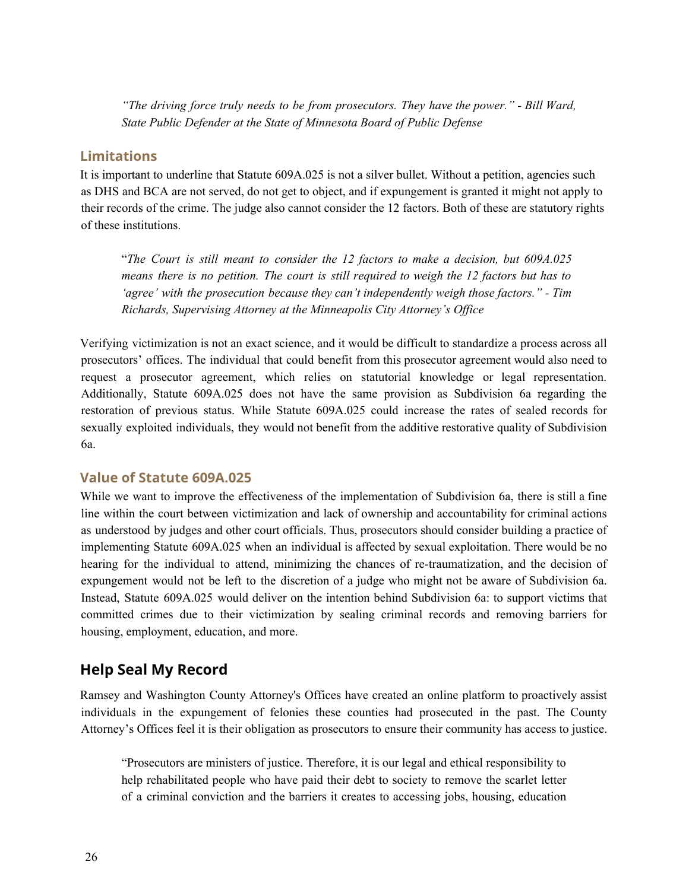*"The driving force truly needs to be from prosecutors. They have the power." - Bill Ward, State Public Defender at the State of Minnesota Board of Public Defense*

#### **Limitations**

It is important to underline that Statute 609A.025 is not a silver bullet. Without a petition, agencies such as DHS and BCA are not served, do not get to object, and if expungement is granted it might not apply to their records of the crime. The judge also cannot consider the 12 factors. Both of these are statutory rights of these institutions.

"*The Court is still meant to consider the 12 factors to make a decision, but 609A.025 means there is no petition. The court is still required to weigh the 12 factors but has to 'agree' with the prosecution because they can't independently weigh those factors." - Tim Richards, Supervising Attorney at the Minneapolis City Attorney's Of ice*

Verifying victimization is not an exact science, and it would be difficult to standardize a process across all prosecutors' offices. The individual that could benefit from this prosecutor agreement would also need to request a prosecutor agreement, which relies on statutorial knowledge or legal representation. Additionally, Statute 609A.025 does not have the same provision as Subdivision 6a regarding the restoration of previous status. While Statute 609A.025 could increase the rates of sealed records for sexually exploited individuals, they would not benefit from the additive restorative quality of Subdivision 6a.

#### **Value of Statute 609A.025**

While we want to improve the effectiveness of the implementation of Subdivision 6a, there is still a fine line within the court between victimization and lack of ownership and accountability for criminal actions as understood by judges and other court officials. Thus, prosecutors should consider building a practice of implementing Statute 609A.025 when an individual is affected by sexual exploitation. There would be no hearing for the individual to attend, minimizing the chances of re-traumatization, and the decision of expungement would not be left to the discretion of a judge who might not be aware of Subdivision 6a. Instead, Statute 609A.025 would deliver on the intention behind Subdivision 6a: to support victims that committed crimes due to their victimization by sealing criminal records and removing barriers for housing, employment, education, and more.

#### <span id="page-25-0"></span>**Help Seal My Record**

Ramsey and Washington County Attorney's Offices have created an online platform to proactively assist individuals in the expungement of felonies these counties had prosecuted in the past. The County Attorney's Offices feel it is their obligation as prosecutors to ensure their community has access to justice.

"Prosecutors are ministers of justice. Therefore, it is our legal and ethical responsibility to help rehabilitated people who have paid their debt to society to remove the scarlet letter of a criminal conviction and the barriers it creates to accessing jobs, housing, education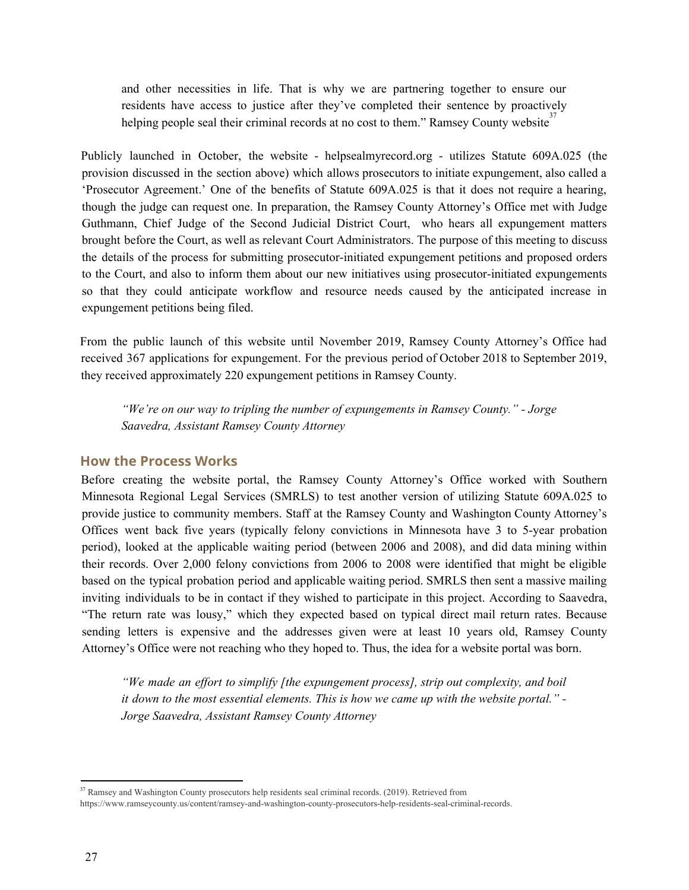and other necessities in life. That is why we are partnering together to ensure our residents have access to justice after they've completed their sentence by proactively helping people seal their criminal records at no cost to them." Ramsey County website<sup>37</sup>

Publicly launched in October, the website - helpsealmyrecord.org - utilizes Statute 609A.025 (the provision discussed in the section above) which allows prosecutors to initiate expungement, also called a 'Prosecutor Agreement.' One of the benefits of Statute 609A.025 is that it does not require a hearing, though the judge can request one. In preparation, the Ramsey County Attorney's Office met with Judge Guthmann, Chief Judge of the Second Judicial District Court, who hears all expungement matters brought before the Court, as well as relevant Court Administrators. The purpose of this meeting to discuss the details of the process for submitting prosecutor-initiated expungement petitions and proposed orders to the Court, and also to inform them about our new initiatives using prosecutor-initiated expungements so that they could anticipate workflow and resource needs caused by the anticipated increase in expungement petitions being filed.

From the public launch of this website until November 2019, Ramsey County Attorney's Office had received 367 applications for expungement. For the previous period of October 2018 to September 2019, they received approximately 220 expungement petitions in Ramsey County.

*"We're on our way to tripling the number of expungements in Ramsey County." - Jorge Saavedra, Assistant Ramsey County Attorney*

#### **How the Process Works**

Before creating the website portal, the Ramsey County Attorney's Office worked with Southern Minnesota Regional Legal Services (SMRLS) to test another version of utilizing Statute 609A.025 to provide justice to community members. Staff at the Ramsey County and Washington County Attorney's Offices went back five years (typically felony convictions in Minnesota have 3 to 5-year probation period), looked at the applicable waiting period (between 2006 and 2008), and did data mining within their records. Over 2,000 felony convictions from 2006 to 2008 were identified that might be eligible based on the typical probation period and applicable waiting period. SMRLS then sent a massive mailing inviting individuals to be in contact if they wished to participate in this project. According to Saavedra, "The return rate was lousy," which they expected based on typical direct mail return rates. Because sending letters is expensive and the addresses given were at least 10 years old, Ramsey County Attorney's Office were not reaching who they hoped to. Thus, the idea for a website portal was born.

*"We made an ef ort to simplify [the expungement process], strip out complexity, and boil it down to the most essential elements. This is how we came up with the website portal." - Jorge Saavedra, Assistant Ramsey County Attorney*

<sup>&</sup>lt;sup>37</sup> Ramsey and Washington County prosecutors help residents seal criminal records. (2019). Retrieved from https://www.ramseycounty.us/content/ramsey-and-washington-county-prosecutors-help-residents-seal-criminal-records.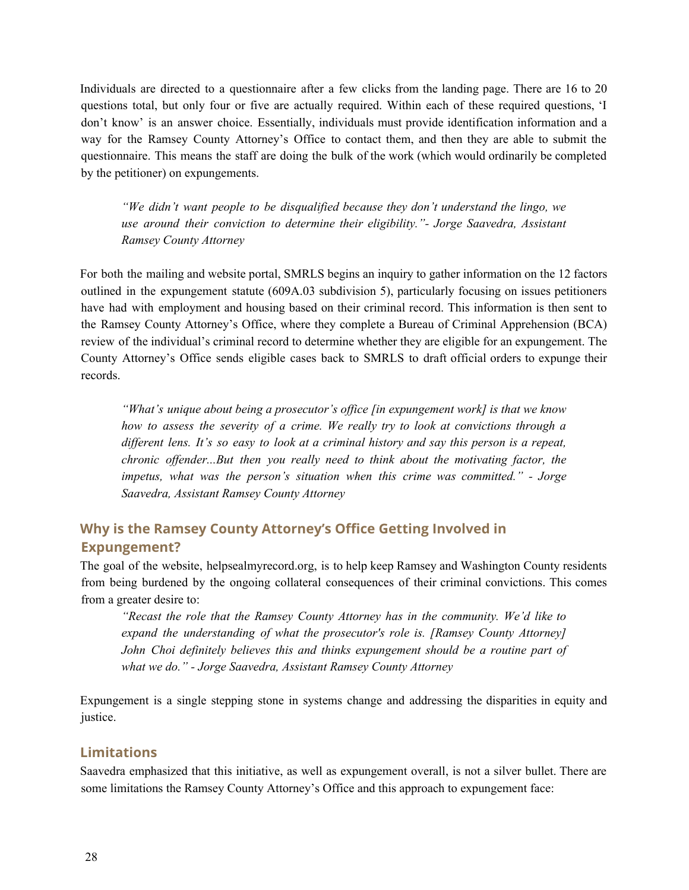Individuals are directed to a questionnaire after a few clicks from the landing page. There are 16 to 20 questions total, but only four or five are actually required. Within each of these required questions, 'I don't know' is an answer choice. Essentially, individuals must provide identification information and a way for the Ramsey County Attorney's Office to contact them, and then they are able to submit the questionnaire. This means the staff are doing the bulk of the work (which would ordinarily be completed by the petitioner) on expungements.

*"We didn't want people to be disqualified because they don't understand the lingo, we use around their conviction to determine their eligibility."- Jorge Saavedra, Assistant Ramsey County Attorney*

For both the mailing and website portal, SMRLS begins an inquiry to gather information on the 12 factors outlined in the expungement statute (609A.03 subdivision 5), particularly focusing on issues petitioners have had with employment and housing based on their criminal record. This information is then sent to the Ramsey County Attorney's Office, where they complete a Bureau of Criminal Apprehension (BCA) review of the individual's criminal record to determine whether they are eligible for an expungement. The County Attorney's Office sends eligible cases back to SMRLS to draft official orders to expunge their records.

*"What's unique about being a prosecutor's of ice [in expungement work] is that we know how to assess the severity of a crime. We really try to look at convictions through a dif erent lens. It's so easy to look at a criminal history and say this person is a repeat, chronic of ender...But then you really need to think about the motivating factor, the impetus, what was the person's situation when this crime was committed." - Jorge Saavedra, Assistant Ramsey County Attorney*

### **Why is the Ramsey County Attorney's Office Getting Involved in Expungement?**

The goal of the website, helpsealmyrecord.org, is to help keep Ramsey and Washington County residents from being burdened by the ongoing collateral consequences of their criminal convictions. This comes from a greater desire to:

*"Recast the role that the Ramsey County Attorney has in the community. We'd like to expand the understanding of what the prosecutor's role is. [Ramsey County Attorney] John Choi definitely believes this and thinks expungement should be a routine part of what we do." - Jorge Saavedra, Assistant Ramsey County Attorney*

Expungement is a single stepping stone in systems change and addressing the disparities in equity and justice.

#### **Limitations**

Saavedra emphasized that this initiative, as well as expungement overall, is not a silver bullet. There are some limitations the Ramsey County Attorney's Office and this approach to expungement face: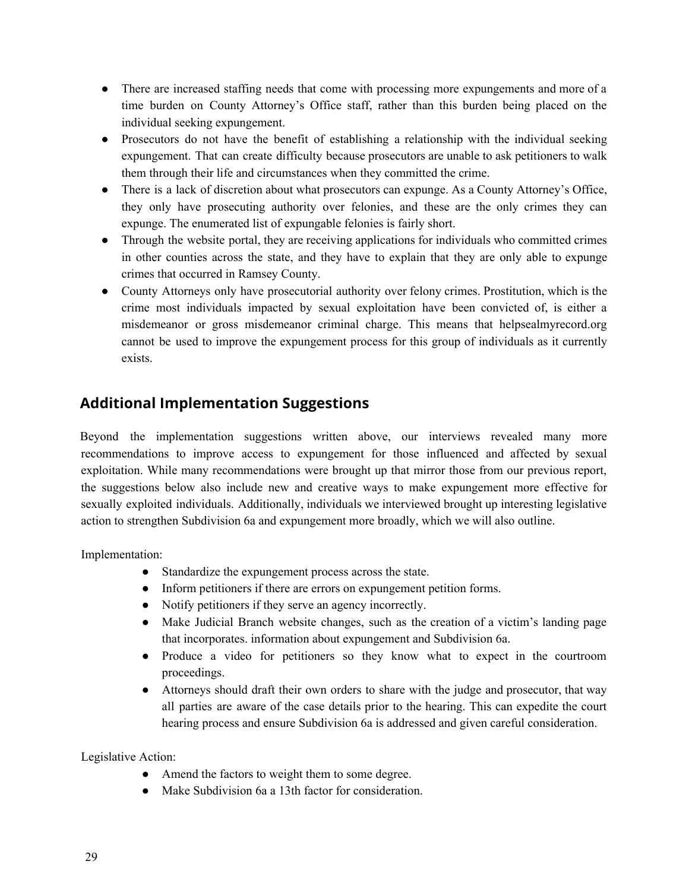- There are increased staffing needs that come with processing more expungements and more of a time burden on County Attorney's Office staff, rather than this burden being placed on the individual seeking expungement.
- Prosecutors do not have the benefit of establishing a relationship with the individual seeking expungement. That can create difficulty because prosecutors are unable to ask petitioners to walk them through their life and circumstances when they committed the crime.
- There is a lack of discretion about what prosecutors can expunge. As a County Attorney's Office, they only have prosecuting authority over felonies, and these are the only crimes they can expunge. The enumerated list of expungable felonies is fairly short.
- Through the website portal, they are receiving applications for individuals who committed crimes in other counties across the state, and they have to explain that they are only able to expunge crimes that occurred in Ramsey County.
- County Attorneys only have prosecutorial authority over felony crimes. Prostitution, which is the crime most individuals impacted by sexual exploitation have been convicted of, is either a misdemeanor or gross misdemeanor criminal charge. This means that helpsealmyrecord.org cannot be used to improve the expungement process for this group of individuals as it currently exists.

# <span id="page-28-0"></span>**Additional Implementation Suggestions**

Beyond the implementation suggestions written above, our interviews revealed many more recommendations to improve access to expungement for those influenced and affected by sexual exploitation. While many recommendations were brought up that mirror those from our previous report, the suggestions below also include new and creative ways to make expungement more effective for sexually exploited individuals. Additionally, individuals we interviewed brought up interesting legislative action to strengthen Subdivision 6a and expungement more broadly, which we will also outline.

Implementation:

- Standardize the expungement process across the state.
- Inform petitioners if there are errors on expungement petition forms.
- Notify petitioners if they serve an agency incorrectly.
- Make Judicial Branch website changes, such as the creation of a victim's landing page that incorporates. information about expungement and Subdivision 6a.
- Produce a video for petitioners so they know what to expect in the courtroom proceedings.
- Attorneys should draft their own orders to share with the judge and prosecutor, that way all parties are aware of the case details prior to the hearing. This can expedite the court hearing process and ensure Subdivision 6a is addressed and given careful consideration.

Legislative Action:

- Amend the factors to weight them to some degree.
- Make Subdivision 6a a 13th factor for consideration.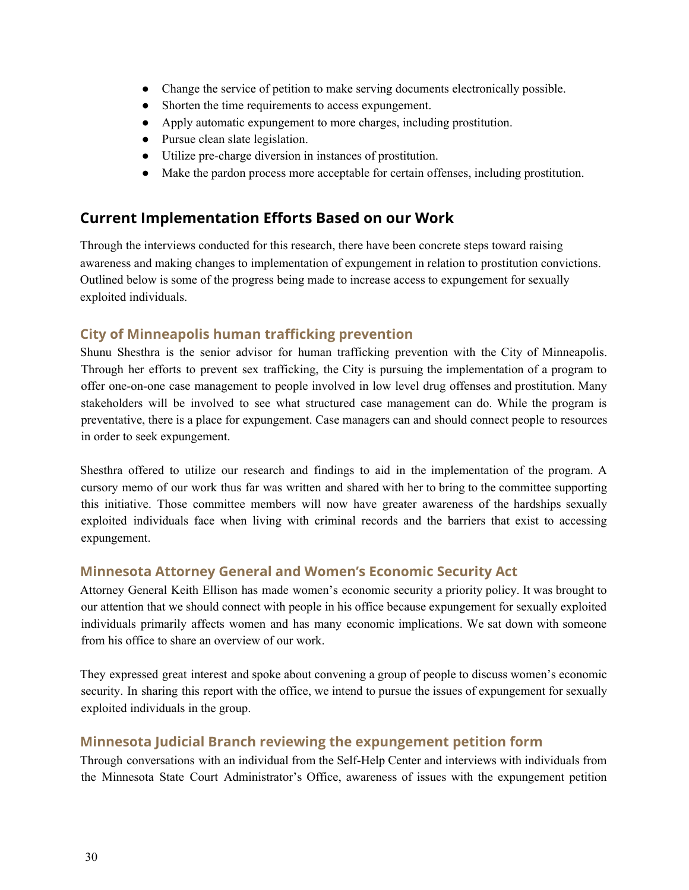- Change the service of petition to make serving documents electronically possible.
- Shorten the time requirements to access expungement.
- Apply automatic expungement to more charges, including prostitution.
- Pursue clean slate legislation.
- Utilize pre-charge diversion in instances of prostitution.
- Make the pardon process more acceptable for certain offenses, including prostitution.

### <span id="page-29-0"></span>**Current Implementation Efforts Based on our Work**

Through the interviews conducted for this research, there have been concrete steps toward raising awareness and making changes to implementation of expungement in relation to prostitution convictions. Outlined below is some of the progress being made to increase access to expungement for sexually exploited individuals.

#### **City of Minneapolis human trafficking prevention**

Shunu Shesthra is the senior advisor for human trafficking prevention with the City of Minneapolis. Through her efforts to prevent sex trafficking, the City is pursuing the implementation of a program to offer one-on-one case management to people involved in low level drug offenses and prostitution. Many stakeholders will be involved to see what structured case management can do. While the program is preventative, there is a place for expungement. Case managers can and should connect people to resources in order to seek expungement.

Shesthra offered to utilize our research and findings to aid in the implementation of the program. A cursory memo of our work thus far was written and shared with her to bring to the committee supporting this initiative. Those committee members will now have greater awareness of the hardships sexually exploited individuals face when living with criminal records and the barriers that exist to accessing expungement.

#### **Minnesota Attorney General and Women's Economic Security Act**

Attorney General Keith Ellison has made women's economic security a priority policy. It was brought to our attention that we should connect with people in his office because expungement for sexually exploited individuals primarily affects women and has many economic implications. We sat down with someone from his office to share an overview of our work.

They expressed great interest and spoke about convening a group of people to discuss women's economic security. In sharing this report with the office, we intend to pursue the issues of expungement for sexually exploited individuals in the group.

#### **Minnesota Judicial Branch reviewing the expungement petition form**

Through conversations with an individual from the Self-Help Center and interviews with individuals from the Minnesota State Court Administrator's Office, awareness of issues with the expungement petition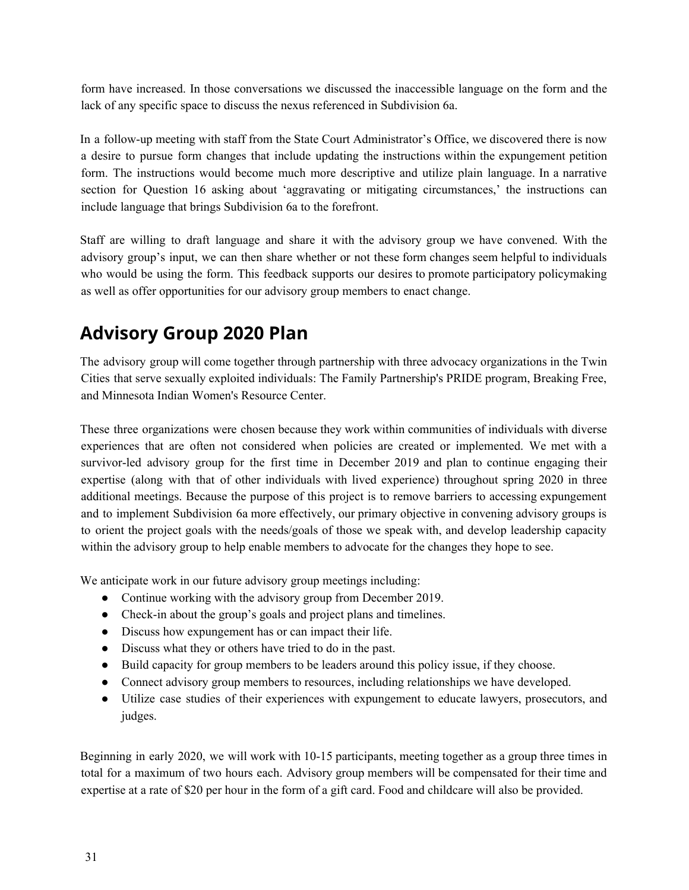form have increased. In those conversations we discussed the inaccessible language on the form and the lack of any specific space to discuss the nexus referenced in Subdivision 6a.

In a follow-up meeting with staff from the State Court Administrator's Office, we discovered there is now a desire to pursue form changes that include updating the instructions within the expungement petition form. The instructions would become much more descriptive and utilize plain language. In a narrative section for Question 16 asking about 'aggravating or mitigating circumstances,' the instructions can include language that brings Subdivision 6a to the forefront.

Staff are willing to draft language and share it with the advisory group we have convened. With the advisory group's input, we can then share whether or not these form changes seem helpful to individuals who would be using the form. This feedback supports our desires to promote participatory policymaking as well as offer opportunities for our advisory group members to enact change.

# <span id="page-30-0"></span>**Advisory Group 2020 Plan**

The advisory group will come together through partnership with three advocacy organizations in the Twin Cities that serve sexually exploited individuals: The Family Partnership's PRIDE program, Breaking Free, and Minnesota Indian Women's Resource Center.

These three organizations were chosen because they work within communities of individuals with diverse experiences that are often not considered when policies are created or implemented. We met with a survivor-led advisory group for the first time in December 2019 and plan to continue engaging their expertise (along with that of other individuals with lived experience) throughout spring 2020 in three additional meetings. Because the purpose of this project is to remove barriers to accessing expungement and to implement Subdivision 6a more effectively, our primary objective in convening advisory groups is to orient the project goals with the needs/goals of those we speak with, and develop leadership capacity within the advisory group to help enable members to advocate for the changes they hope to see.

We anticipate work in our future advisory group meetings including:

- Continue working with the advisory group from December 2019.
- Check-in about the group's goals and project plans and timelines.
- Discuss how expungement has or can impact their life.
- Discuss what they or others have tried to do in the past.
- Build capacity for group members to be leaders around this policy issue, if they choose.
- Connect advisory group members to resources, including relationships we have developed.
- Utilize case studies of their experiences with expungement to educate lawyers, prosecutors, and judges.

Beginning in early 2020, we will work with 10-15 participants, meeting together as a group three times in total for a maximum of two hours each. Advisory group members will be compensated for their time and expertise at a rate of \$20 per hour in the form of a gift card. Food and childcare will also be provided.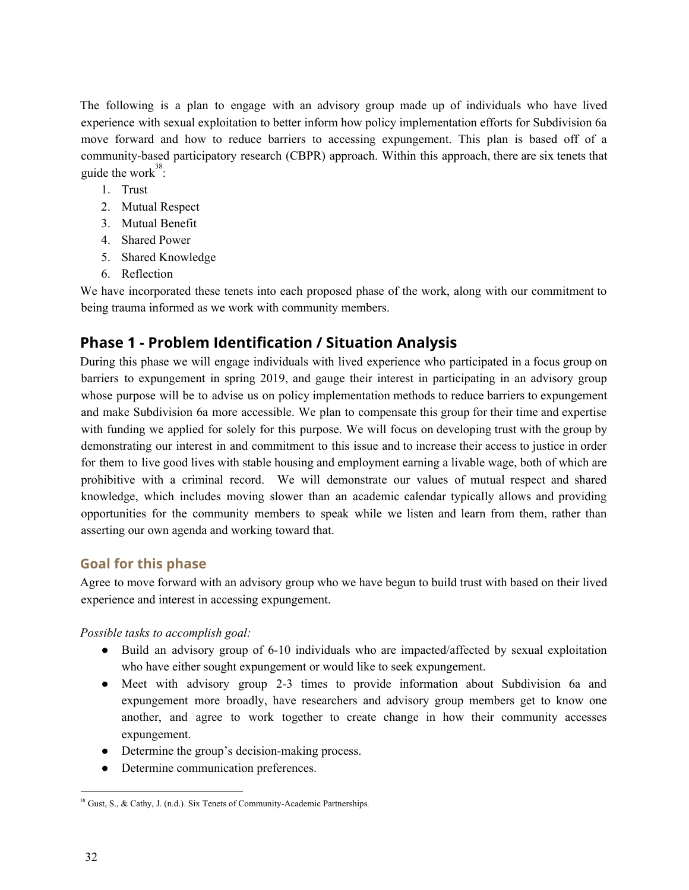The following is a plan to engage with an advisory group made up of individuals who have lived experience with sexual exploitation to better inform how policy implementation efforts for Subdivision 6a move forward and how to reduce barriers to accessing expungement. This plan is based off of a community-based participatory research (CBPR) approach. Within this approach, there are six tenets that guide the work<sup>38</sup>:

- 1. Trust
- 2. Mutual Respect
- 3. Mutual Benefit
- 4. Shared Power
- 5. Shared Knowledge
- 6. Reflection

We have incorporated these tenets into each proposed phase of the work, along with our commitment to being trauma informed as we work with community members.

# **Phase 1 - Problem Identification / Situation Analysis**

During this phase we will engage individuals with lived experience who participated in a focus group on barriers to expungement in spring 2019, and gauge their interest in participating in an advisory group whose purpose will be to advise us on policy implementation methods to reduce barriers to expungement and make Subdivision 6a more accessible. We plan to compensate this group for their time and expertise with funding we applied for solely for this purpose. We will focus on developing trust with the group by demonstrating our interest in and commitment to this issue and to increase their access to justice in order for them to live good lives with stable housing and employment earning a livable wage, both of which are prohibitive with a criminal record. We will demonstrate our values of mutual respect and shared knowledge, which includes moving slower than an academic calendar typically allows and providing opportunities for the community members to speak while we listen and learn from them, rather than asserting our own agenda and working toward that.

#### **Goal for this phase**

Agree to move forward with an advisory group who we have begun to build trust with based on their lived experience and interest in accessing expungement.

*Possible tasks to accomplish goal:*

- Build an advisory group of 6-10 individuals who are impacted/affected by sexual exploitation who have either sought expungement or would like to seek expungement.
- Meet with advisory group 2-3 times to provide information about Subdivision 6a and expungement more broadly, have researchers and advisory group members get to know one another, and agree to work together to create change in how their community accesses expungement.
- Determine the group's decision-making process.
- Determine communication preferences.

<sup>38</sup> Gust, S., & Cathy, J. (n.d.). Six Tenets of Community-Academic Partnerships*.*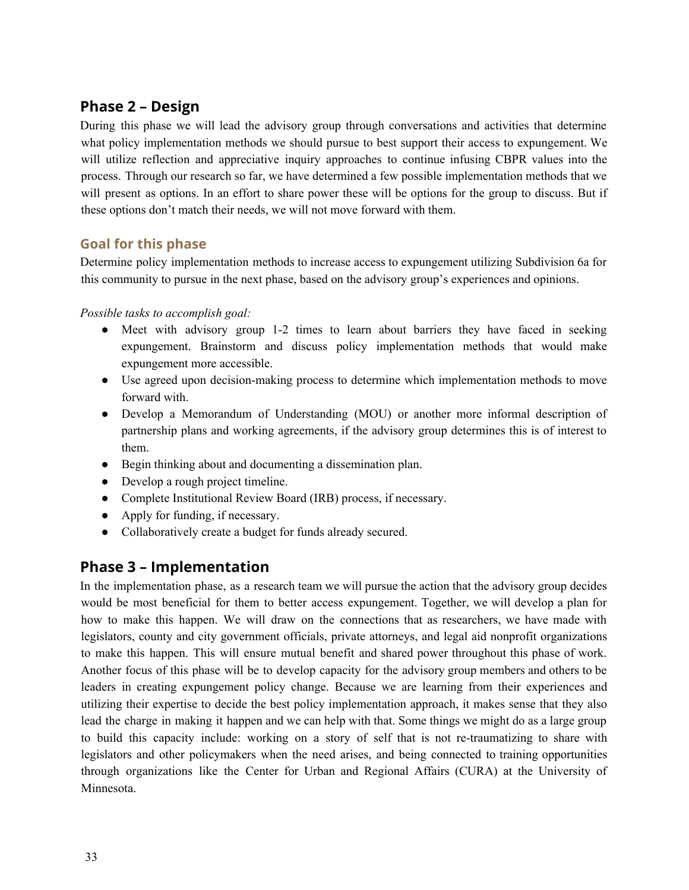### **Phase 2 – Design**

During this phase we will lead the advisory group through conversations and activities that determine what policy implementation methods we should pursue to best support their access to expungement. We will utilize reflection and appreciative inquiry approaches to continue infusing CBPR values into the process. Through our research so far, we have determined a few possible implementation methods that we will present as options. In an effort to share power these will be options for the group to discuss. But if these options don't match their needs, we will not move forward with them.

#### **Goal for this phase**

Determine policy implementation methods to increase access to expungement utilizing Subdivision 6a for this community to pursue in the next phase, based on the advisory group's experiences and opinions.

*Possible tasks to accomplish goal:*

- Meet with advisory group 1-2 times to learn about barriers they have faced in seeking expungement. Brainstorm and discuss policy implementation methods that would make expungement more accessible.
- Use agreed upon decision-making process to determine which implementation methods to move forward with.
- Develop a Memorandum of Understanding (MOU) or another more informal description of partnership plans and working agreements, if the advisory group determines this is of interest to them.
- Begin thinking about and documenting a dissemination plan.
- Develop a rough project timeline.
- Complete Institutional Review Board (IRB) process, if necessary.
- Apply for funding, if necessary.
- Collaboratively create a budget for funds already secured.

### **Phase 3 – Implementation**

In the implementation phase, as a research team we will pursue the action that the advisory group decides would be most beneficial for them to better access expungement. Together, we will develop a plan for how to make this happen. We will draw on the connections that as researchers, we have made with legislators, county and city government officials, private attorneys, and legal aid nonprofit organizations to make this happen. This will ensure mutual benefit and shared power throughout this phase of work. Another focus of this phase will be to develop capacity for the advisory group members and others to be leaders in creating expungement policy change. Because we are learning from their experiences and utilizing their expertise to decide the best policy implementation approach, it makes sense that they also lead the charge in making it happen and we can help with that. Some things we might do as a large group to build this capacity include: working on a story of self that is not re-traumatizing to share with legislators and other policymakers when the need arises, and being connected to training opportunities through organizations like the Center for Urban and Regional Affairs (CURA) at the University of Minnesota.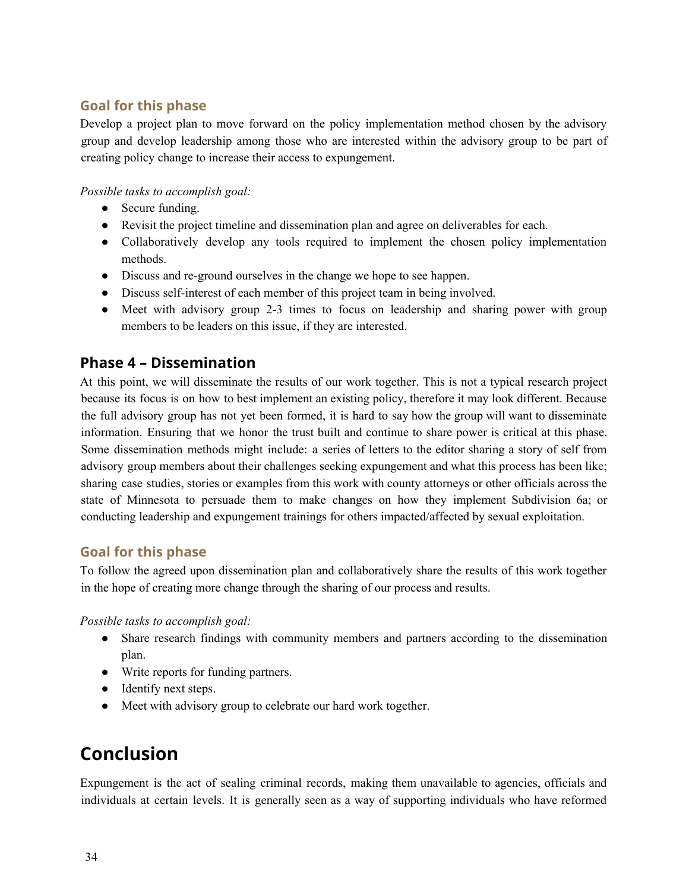### **Goal for this phase**

Develop a project plan to move forward on the policy implementation method chosen by the advisory group and develop leadership among those who are interested within the advisory group to be part of creating policy change to increase their access to expungement.

*Possible tasks to accomplish goal:*

- Secure funding.
- Revisit the project timeline and dissemination plan and agree on deliverables for each.
- Collaboratively develop any tools required to implement the chosen policy implementation methods.
- Discuss and re-ground ourselves in the change we hope to see happen.
- Discuss self-interest of each member of this project team in being involved.
- Meet with advisory group 2-3 times to focus on leadership and sharing power with group members to be leaders on this issue, if they are interested.

# **Phase 4 – Dissemination**

At this point, we will disseminate the results of our work together. This is not a typical research project because its focus is on how to best implement an existing policy, therefore it may look different. Because the full advisory group has not yet been formed, it is hard to say how the group will want to disseminate information. Ensuring that we honor the trust built and continue to share power is critical at this phase. Some dissemination methods might include: a series of letters to the editor sharing a story of self from advisory group members about their challenges seeking expungement and what this process has been like; sharing case studies, stories or examples from this work with county attorneys or other officials across the state of Minnesota to persuade them to make changes on how they implement Subdivision 6a; or conducting leadership and expungement trainings for others impacted/affected by sexual exploitation.

#### **Goal for this phase**

To follow the agreed upon dissemination plan and collaboratively share the results of this work together in the hope of creating more change through the sharing of our process and results.

*Possible tasks to accomplish goal:*

- Share research findings with community members and partners according to the dissemination plan.
- Write reports for funding partners.
- Identify next steps.
- Meet with advisory group to celebrate our hard work together.

# <span id="page-33-0"></span>**Conclusion**

Expungement is the act of sealing criminal records, making them unavailable to agencies, officials and individuals at certain levels. It is generally seen as a way of supporting individuals who have reformed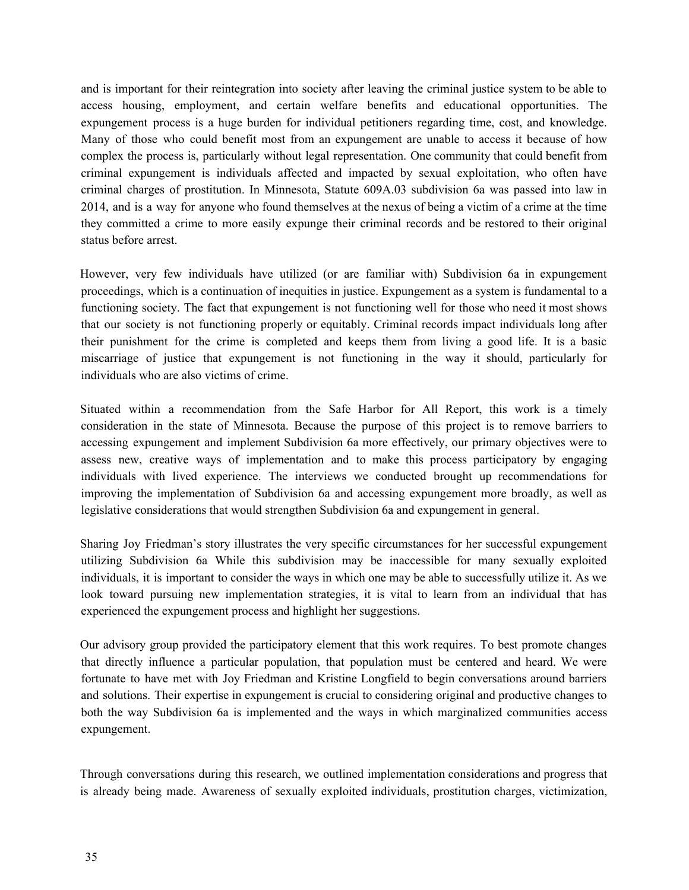and is important for their reintegration into society after leaving the criminal justice system to be able to access housing, employment, and certain welfare benefits and educational opportunities. The expungement process is a huge burden for individual petitioners regarding time, cost, and knowledge. Many of those who could benefit most from an expungement are unable to access it because of how complex the process is, particularly without legal representation. One community that could benefit from criminal expungement is individuals affected and impacted by sexual exploitation, who often have criminal charges of prostitution. In Minnesota, Statute 609A.03 subdivision 6a was passed into law in 2014, and is a way for anyone who found themselves at the nexus of being a victim of a crime at the time they committed a crime to more easily expunge their criminal records and be restored to their original status before arrest.

However, very few individuals have utilized (or are familiar with) Subdivision 6a in expungement proceedings, which is a continuation of inequities in justice. Expungement as a system is fundamental to a functioning society. The fact that expungement is not functioning well for those who need it most shows that our society is not functioning properly or equitably. Criminal records impact individuals long after their punishment for the crime is completed and keeps them from living a good life. It is a basic miscarriage of justice that expungement is not functioning in the way it should, particularly for individuals who are also victims of crime.

Situated within a recommendation from the Safe Harbor for All Report, this work is a timely consideration in the state of Minnesota. Because the purpose of this project is to remove barriers to accessing expungement and implement Subdivision 6a more effectively, our primary objectives were to assess new, creative ways of implementation and to make this process participatory by engaging individuals with lived experience. The interviews we conducted brought up recommendations for improving the implementation of Subdivision 6a and accessing expungement more broadly, as well as legislative considerations that would strengthen Subdivision 6a and expungement in general.

Sharing Joy Friedman's story illustrates the very specific circumstances for her successful expungement utilizing Subdivision 6a While this subdivision may be inaccessible for many sexually exploited individuals, it is important to consider the ways in which one may be able to successfully utilize it. As we look toward pursuing new implementation strategies, it is vital to learn from an individual that has experienced the expungement process and highlight her suggestions.

Our advisory group provided the participatory element that this work requires. To best promote changes that directly influence a particular population, that population must be centered and heard. We were fortunate to have met with Joy Friedman and Kristine Longfield to begin conversations around barriers and solutions. Their expertise in expungement is crucial to considering original and productive changes to both the way Subdivision 6a is implemented and the ways in which marginalized communities access expungement.

Through conversations during this research, we outlined implementation considerations and progress that is already being made. Awareness of sexually exploited individuals, prostitution charges, victimization,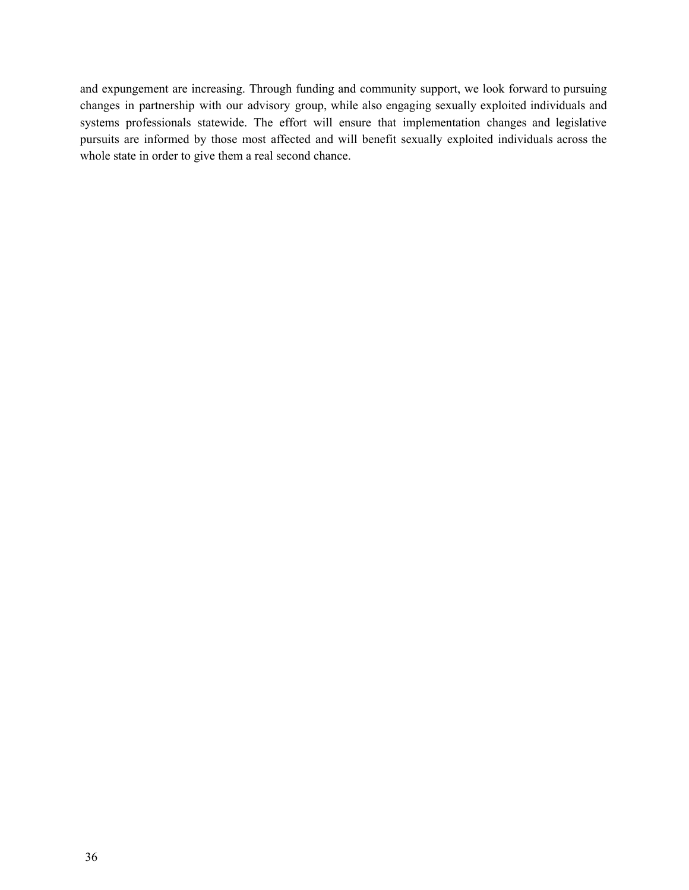and expungement are increasing. Through funding and community support, we look forward to pursuing changes in partnership with our advisory group, while also engaging sexually exploited individuals and systems professionals statewide. The effort will ensure that implementation changes and legislative pursuits are informed by those most affected and will benefit sexually exploited individuals across the whole state in order to give them a real second chance.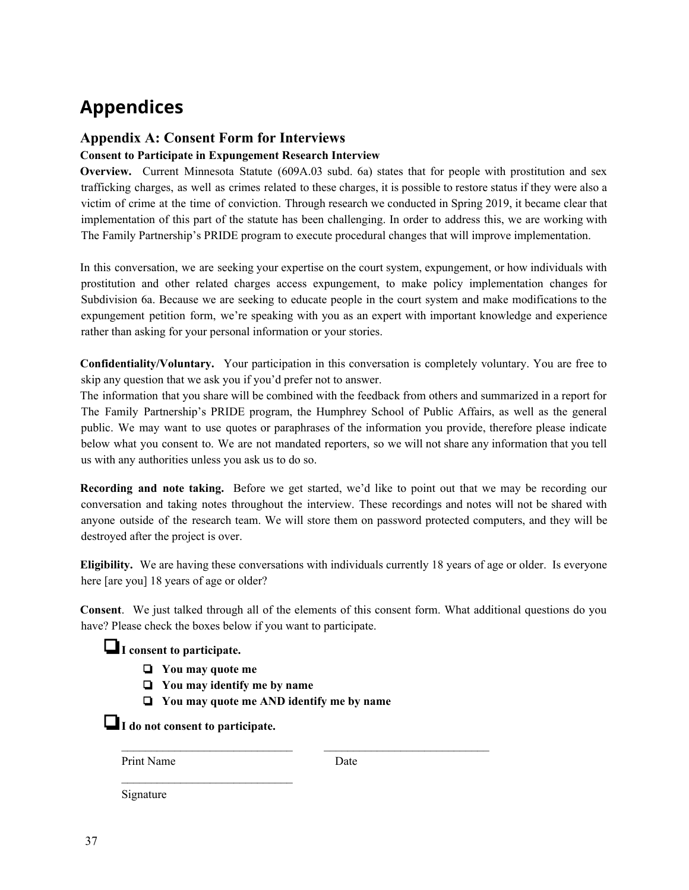# <span id="page-36-0"></span>**Appendices**

#### <span id="page-36-1"></span>**Appendix A: Consent Form for Interviews**

#### **Consent to Participate in Expungement Research Interview**

**Overview.** Current Minnesota Statute (609A.03 subd. 6a) states that for people with prostitution and sex trafficking charges, as well as crimes related to these charges, it is possible to restore status if they were also a victim of crime at the time of conviction. Through research we conducted in Spring 2019, it became clear that implementation of this part of the statute has been challenging. In order to address this, we are working with The Family Partnership's PRIDE program to execute procedural changes that will improve implementation.

In this conversation, we are seeking your expertise on the court system, expungement, or how individuals with prostitution and other related charges access expungement, to make policy implementation changes for Subdivision 6a. Because we are seeking to educate people in the court system and make modifications to the expungement petition form, we're speaking with you as an expert with important knowledge and experience rather than asking for your personal information or your stories.

**Confidentiality/Voluntary.** Your participation in this conversation is completely voluntary. You are free to skip any question that we ask you if you'd prefer not to answer.

The information that you share will be combined with the feedback from others and summarized in a report for The Family Partnership's PRIDE program, the Humphrey School of Public Affairs, as well as the general public. We may want to use quotes or paraphrases of the information you provide, therefore please indicate below what you consent to. We are not mandated reporters, so we will not share any information that you tell us with any authorities unless you ask us to do so.

**Recording and note taking.** Before we get started, we'd like to point out that we may be recording our conversation and taking notes throughout the interview. These recordings and notes will not be shared with anyone outside of the research team. We will store them on password protected computers, and they will be destroyed after the project is over.

**Eligibility.** We are having these conversations with individuals currently 18 years of age or older. Is everyone here [are you] 18 years of age or older?

**Consent**. We just talked through all of the elements of this consent form. What additional questions do you have? Please check the boxes below if you want to participate.

#### ❏**I consent to participate.**

- ❏ **You may quote me**
- ❏ **You may identify me by name**
- ❏ **You may quote me AND identify me by name**

❏**I do not consent to participate.**

 $\mathcal{L}=\{1,2,3,4,5\}$ 

Print Name Date

 $\mathcal{L}_\text{max} = \mathcal{L}_\text{max} = \mathcal{L}_\text{max} = \mathcal{L}_\text{max} = \mathcal{L}_\text{max} = \mathcal{L}_\text{max} = \mathcal{L}_\text{max} = \mathcal{L}_\text{max} = \mathcal{L}_\text{max} = \mathcal{L}_\text{max} = \mathcal{L}_\text{max} = \mathcal{L}_\text{max} = \mathcal{L}_\text{max} = \mathcal{L}_\text{max} = \mathcal{L}_\text{max} = \mathcal{L}_\text{max} = \mathcal{L}_\text{max} = \mathcal{L}_\text{max} = \mathcal{$ 

Signature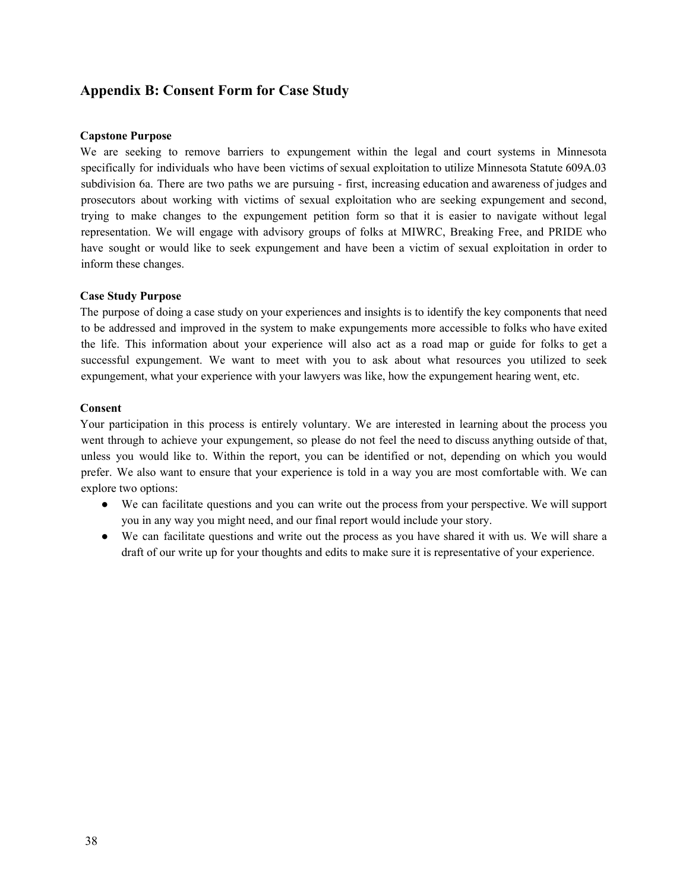#### <span id="page-37-0"></span>**Appendix B: Consent Form for Case Study**

#### **Capstone Purpose**

We are seeking to remove barriers to expungement within the legal and court systems in Minnesota specifically for individuals who have been victims of sexual exploitation to utilize Minnesota Statute 609A.03 subdivision 6a. There are two paths we are pursuing - first, increasing education and awareness of judges and prosecutors about working with victims of sexual exploitation who are seeking expungement and second, trying to make changes to the expungement petition form so that it is easier to navigate without legal representation. We will engage with advisory groups of folks at MIWRC, Breaking Free, and PRIDE who have sought or would like to seek expungement and have been a victim of sexual exploitation in order to inform these changes.

#### **Case Study Purpose**

The purpose of doing a case study on your experiences and insights is to identify the key components that need to be addressed and improved in the system to make expungements more accessible to folks who have exited the life. This information about your experience will also act as a road map or guide for folks to get a successful expungement. We want to meet with you to ask about what resources you utilized to seek expungement, what your experience with your lawyers was like, how the expungement hearing went, etc.

#### **Consent**

Your participation in this process is entirely voluntary. We are interested in learning about the process you went through to achieve your expungement, so please do not feel the need to discuss anything outside of that, unless you would like to. Within the report, you can be identified or not, depending on which you would prefer. We also want to ensure that your experience is told in a way you are most comfortable with. We can explore two options:

- We can facilitate questions and you can write out the process from your perspective. We will support you in any way you might need, and our final report would include your story.
- We can facilitate questions and write out the process as you have shared it with us. We will share a draft of our write up for your thoughts and edits to make sure it is representative of your experience.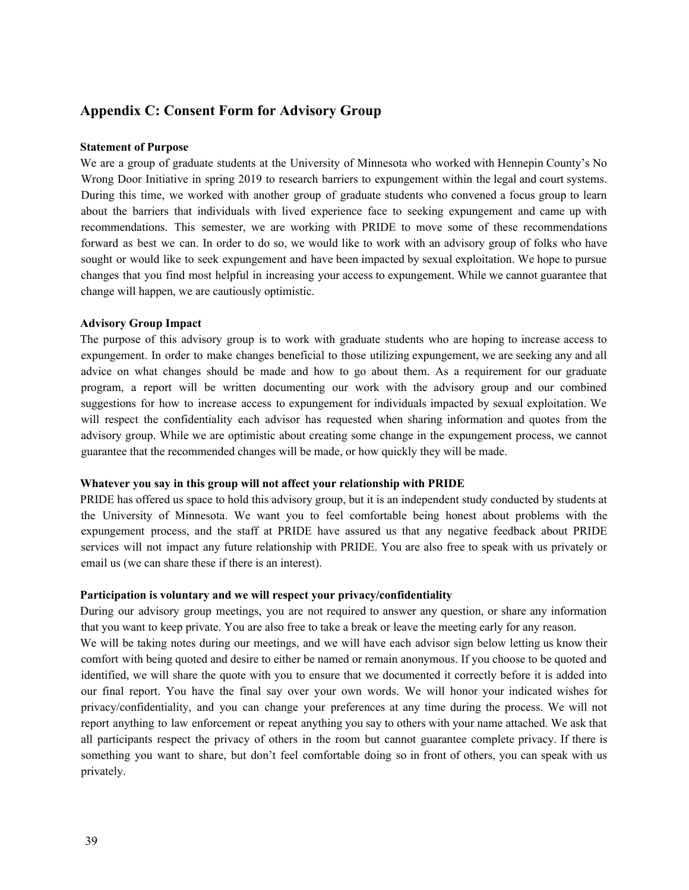#### <span id="page-38-0"></span>**Appendix C: Consent Form for Advisory Group**

#### **Statement of Purpose**

We are a group of graduate students at the University of Minnesota who worked with Hennepin County's No Wrong Door Initiative in spring 2019 to research barriers to expungement within the legal and court systems. During this time, we worked with another group of graduate students who convened a focus group to learn about the barriers that individuals with lived experience face to seeking expungement and came up with recommendations. This semester, we are working with PRIDE to move some of these recommendations forward as best we can. In order to do so, we would like to work with an advisory group of folks who have sought or would like to seek expungement and have been impacted by sexual exploitation. We hope to pursue changes that you find most helpful in increasing your access to expungement. While we cannot guarantee that change will happen, we are cautiously optimistic.

#### **Advisory Group Impact**

The purpose of this advisory group is to work with graduate students who are hoping to increase access to expungement. In order to make changes beneficial to those utilizing expungement, we are seeking any and all advice on what changes should be made and how to go about them. As a requirement for our graduate program, a report will be written documenting our work with the advisory group and our combined suggestions for how to increase access to expungement for individuals impacted by sexual exploitation. We will respect the confidentiality each advisor has requested when sharing information and quotes from the advisory group. While we are optimistic about creating some change in the expungement process, we cannot guarantee that the recommended changes will be made, or how quickly they will be made.

#### **Whatever you say in this group will not affect your relationship with PRIDE**

PRIDE has offered us space to hold this advisory group, but it is an independent study conducted by students at the University of Minnesota. We want you to feel comfortable being honest about problems with the expungement process, and the staff at PRIDE have assured us that any negative feedback about PRIDE services will not impact any future relationship with PRIDE. You are also free to speak with us privately or email us (we can share these if there is an interest).

#### **Participation is voluntary and we will respect your privacy/confidentiality**

During our advisory group meetings, you are not required to answer any question, or share any information that you want to keep private. You are also free to take a break or leave the meeting early for any reason. We will be taking notes during our meetings, and we will have each advisor sign below letting us know their comfort with being quoted and desire to either be named or remain anonymous. If you choose to be quoted and identified, we will share the quote with you to ensure that we documented it correctly before it is added into our final report. You have the final say over your own words. We will honor your indicated wishes for privacy/confidentiality, and you can change your preferences at any time during the process. We will not report anything to law enforcement or repeat anything you say to others with your name attached. We ask that all participants respect the privacy of others in the room but cannot guarantee complete privacy. If there is something you want to share, but don't feel comfortable doing so in front of others, you can speak with us privately.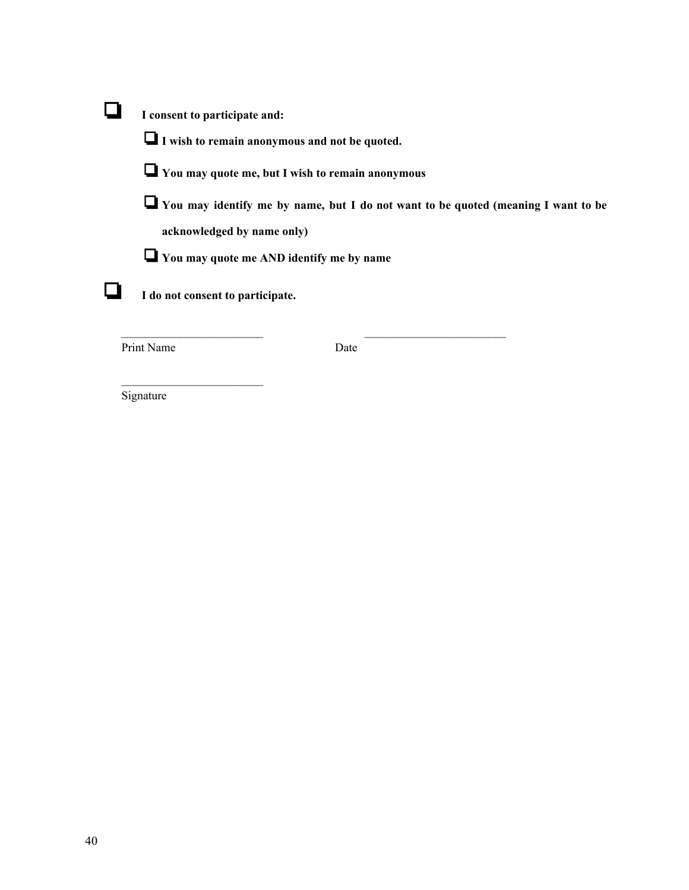| I consent to participate and:                                                                   |
|-------------------------------------------------------------------------------------------------|
| $\Box$ I wish to remain anonymous and not be quoted.                                            |
| $\Box$ You may quote me, but I wish to remain anonymous                                         |
| <b>Theory</b> You may identify me by name, but I do not want to be quoted (meaning I want to be |
| acknowledged by name only)                                                                      |
| $\Box$ You may quote me AND identify me by name                                                 |
| I do not consent to participate.                                                                |
| Print Name<br>Date                                                                              |

Signature

 $\mathcal{L}_\text{max}$  , where  $\mathcal{L}_\text{max}$  and  $\mathcal{L}_\text{max}$